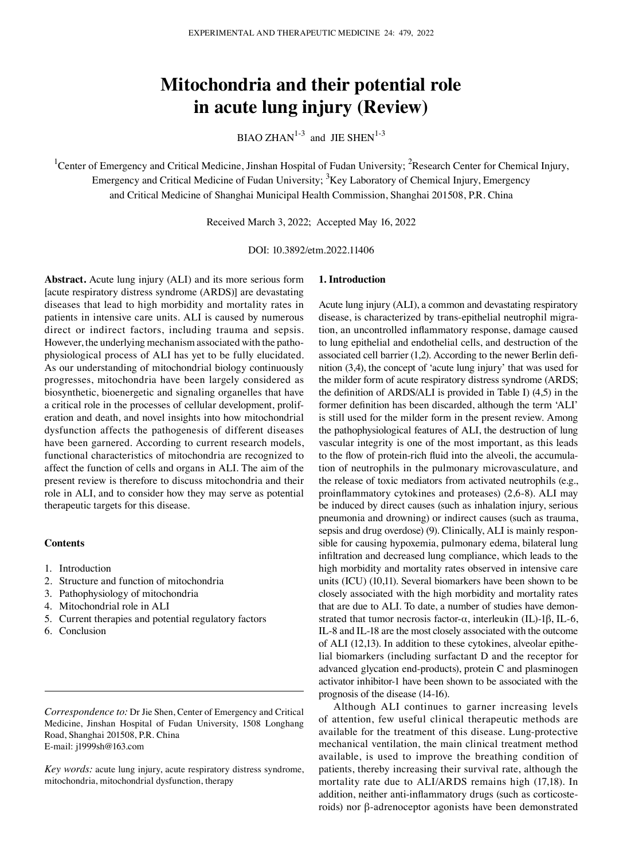# **Mitochondria and their potential role in acute lung injury (Review)**

BIAO ZHAN<sup>1-3</sup> and JIE SHEN<sup>1-3</sup>

<sup>1</sup>Center of Emergency and Critical Medicine, Jinshan Hospital of Fudan University; <sup>2</sup>Research Center for Chemical Injury, Emergency and Critical Medicine of Fudan University; <sup>3</sup>Key Laboratory of Chemical Injury, Emergency and Critical Medicine of Shanghai Municipal Health Commission, Shanghai 201508, P.R. China

Received March 3, 2022; Accepted May 16, 2022

DOI: 10.3892/etm.2022.11406

**Abstract.** Acute lung injury (ALI) and its more serious form [acute respiratory distress syndrome (ARDS)] are devastating diseases that lead to high morbidity and mortality rates in patients in intensive care units. ALI is caused by numerous direct or indirect factors, including trauma and sepsis. However, the underlying mechanism associated with the pathophysiological process of ALI has yet to be fully elucidated. As our understanding of mitochondrial biology continuously progresses, mitochondria have been largely considered as biosynthetic, bioenergetic and signaling organelles that have a critical role in the processes of cellular development, proliferation and death, and novel insights into how mitochondrial dysfunction affects the pathogenesis of different diseases have been garnered. According to current research models, functional characteristics of mitochondria are recognized to affect the function of cells and organs in ALI. The aim of the present review is therefore to discuss mitochondria and their role in ALI, and to consider how they may serve as potential therapeutic targets for this disease.

## **Contents**

- 1. Introduction
- 2. Structure and function of mitochondria
- 3. Pathophysiology of mitochondria
- 4. Mitochondrial role in ALI
- 5. Current therapies and potential regulatory factors
- 6. Conclusion

*Correspondence to:* Dr Jie Shen, Center of Emergency and Critical Medicine, Jinshan Hospital of Fudan University, 1508 Longhang Road, Shanghai 201508, P.R. China E‑mail: j1999sh@163.com

*Key words:* acute lung injury, acute respiratory distress syndrome, mitochondria, mitochondrial dysfunction, therapy

## **1. Introduction**

Acute lung injury (ALI), a common and devastating respiratory disease, is characterized by trans-epithelial neutrophil migration, an uncontrolled inflammatory response, damage caused to lung epithelial and endothelial cells, and destruction of the associated cell barrier  $(1,2)$ . According to the newer Berlin definition (3,4), the concept of 'acute lung injury' that was used for the milder form of acute respiratory distress syndrome (ARDS; the definition of ARDS/ALI is provided in Table I) (4,5) in the former definition has been discarded, although the term 'ALI' is still used for the milder form in the present review. Among the pathophysiological features of ALI, the destruction of lung vascular integrity is one of the most important, as this leads to the flow of protein-rich fluid into the alveoli, the accumulation of neutrophils in the pulmonary microvasculature, and the release of toxic mediators from activated neutrophils (e.g., proinflammatory cytokines and proteases) (2,6‑8). ALI may be induced by direct causes (such as inhalation injury, serious pneumonia and drowning) or indirect causes (such as trauma, sepsis and drug overdose) (9). Clinically, ALI is mainly responsible for causing hypoxemia, pulmonary edema, bilateral lung infiltration and decreased lung compliance, which leads to the high morbidity and mortality rates observed in intensive care units (ICU) (10,11). Several biomarkers have been shown to be closely associated with the high morbidity and mortality rates that are due to ALI. To date, a number of studies have demonstrated that tumor necrosis factor- $\alpha$ , interleukin (IL)-1 $\beta$ , IL-6, IL‑8 and IL‑18 are the most closely associated with the outcome of ALI (12,13). In addition to these cytokines, alveolar epithe– lial biomarkers (including surfactant D and the receptor for advanced glycation end‑products), protein C and plasminogen activator inhibitor‑1 have been shown to be associated with the prognosis of the disease (14‑16).

Although ALI continues to garner increasing levels of attention, few useful clinical therapeutic methods are available for the treatment of this disease. Lung‑protective mechanical ventilation, the main clinical treatment method available, is used to improve the breathing condition of patients, thereby increasing their survival rate, although the mortality rate due to ALI/ARDS remains high (17,18). In addition, neither anti-inflammatory drugs (such as corticosteroids) nor β‑adrenoceptor agonists have been demonstrated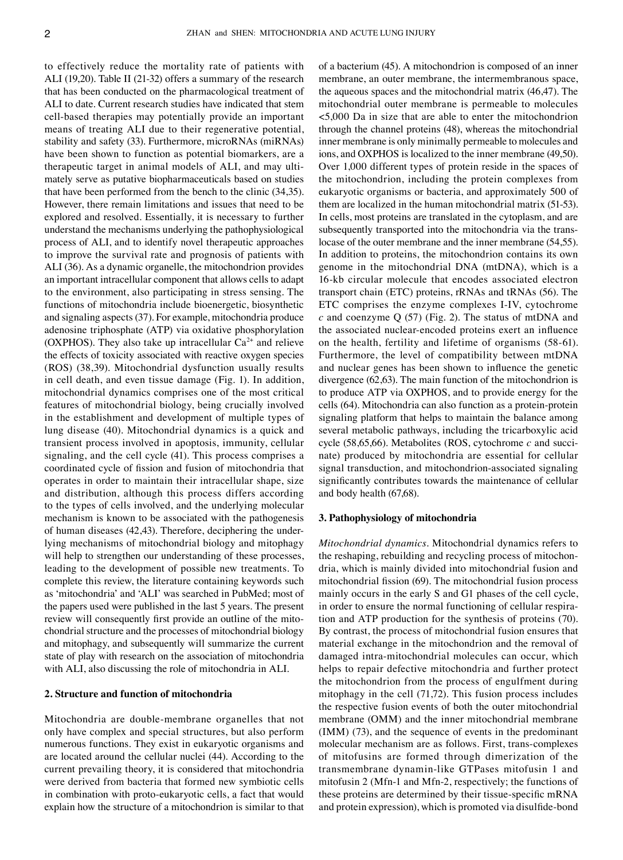to effectively reduce the mortality rate of patients with ALI (19,20). Table II (21‑32) offers a summary of the research that has been conducted on the pharmacological treatment of ALI to date. Current research studies have indicated that stem cell‑based therapies may potentially provide an important means of treating ALI due to their regenerative potential, stability and safety (33). Furthermore, microRNAs (miRNAs) have been shown to function as potential biomarkers, are a therapeutic target in animal models of ALI, and may ultimately serve as putative biopharmaceuticals based on studies that have been performed from the bench to the clinic (34,35). However, there remain limitations and issues that need to be explored and resolved. Essentially, it is necessary to further understand the mechanisms underlying the pathophysiological process of ALI, and to identify novel therapeutic approaches to improve the survival rate and prognosis of patients with ALI (36). As a dynamic organelle, the mitochondrion provides an important intracellular component that allows cells to adapt to the environment, also participating in stress sensing. The functions of mitochondria include bioenergetic, biosynthetic and signaling aspects (37). For example, mitochondria produce adenosine triphosphate (ATP) via oxidative phosphorylation (OXPHOS). They also take up intracellular  $Ca^{2+}$  and relieve the effects of toxicity associated with reactive oxygen species (ROS) (38,39). Mitochondrial dysfunction usually results in cell death, and even tissue damage (Fig. 1). In addition, mitochondrial dynamics comprises one of the most critical features of mitochondrial biology, being crucially involved in the establishment and development of multiple types of lung disease (40). Mitochondrial dynamics is a quick and transient process involved in apoptosis, immunity, cellular signaling, and the cell cycle (41). This process comprises a coordinated cycle of fission and fusion of mitochondria that operates in order to maintain their intracellular shape, size and distribution, although this process differs according to the types of cells involved, and the underlying molecular mechanism is known to be associated with the pathogenesis of human diseases (42,43). Therefore, deciphering the underlying mechanisms of mitochondrial biology and mitophagy will help to strengthen our understanding of these processes, leading to the development of possible new treatments. To complete this review, the literature containing keywords such as 'mitochondria' and 'ALI' was searched in PubMed; most of the papers used were published in the last 5 years. The present review will consequently first provide an outline of the mitochondrial structure and the processes of mitochondrial biology and mitophagy, and subsequently will summarize the current state of play with research on the association of mitochondria with ALI, also discussing the role of mitochondria in ALI.

## **2. Structure and function of mitochondria**

Mitochondria are double‑membrane organelles that not only have complex and special structures, but also perform numerous functions. They exist in eukaryotic organisms and are located around the cellular nuclei (44). According to the current prevailing theory, it is considered that mitochondria were derived from bacteria that formed new symbiotic cells in combination with proto-eukaryotic cells, a fact that would explain how the structure of a mitochondrion is similar to that of a bacterium (45). A mitochondrion is composed of an inner membrane, an outer membrane, the intermembranous space, the aqueous spaces and the mitochondrial matrix (46,47). The mitochondrial outer membrane is permeable to molecules <5,000 Da in size that are able to enter the mitochondrion through the channel proteins (48), whereas the mitochondrial inner membrane is only minimally permeable to molecules and ions, and OXPHOS is localized to the inner membrane (49,50). Over 1,000 different types of protein reside in the spaces of the mitochondrion, including the protein complexes from eukaryotic organisms or bacteria, and approximately 500 of them are localized in the human mitochondrial matrix (51-53). In cells, most proteins are translated in the cytoplasm, and are subsequently transported into the mitochondria via the translocase of the outer membrane and the inner membrane (54,55). In addition to proteins, the mitochondrion contains its own genome in the mitochondrial DNA (mtDNA), which is a 16‑kb circular molecule that encodes associated electron transport chain (ETC) proteins, rRNAs and tRNAs (56). The ETC comprises the enzyme complexes I‑IV, cytochrome *c* and coenzyme Q (57) (Fig. 2). The status of mtDNA and the associated nuclear‑encoded proteins exert an influence on the health, fertility and lifetime of organisms (58‑61). Furthermore, the level of compatibility between mtDNA and nuclear genes has been shown to influence the genetic divergence (62,63). The main function of the mitochondrion is to produce ATP via OXPHOS, and to provide energy for the cells (64). Mitochondria can also function as a protein‑protein signaling platform that helps to maintain the balance among several metabolic pathways, including the tricarboxylic acid cycle (58,65,66). Metabolites (ROS, cytochrome *c* and succinate) produced by mitochondria are essential for cellular signal transduction, and mitochondrion‑associated signaling significantly contributes towards the maintenance of cellular and body health (67,68).

## **3. Pathophysiology of mitochondria**

*Mitochondrial dynamics.* Mitochondrial dynamics refers to the reshaping, rebuilding and recycling process of mitochondria, which is mainly divided into mitochondrial fusion and mitochondrial fission (69). The mitochondrial fusion process mainly occurs in the early S and G1 phases of the cell cycle, in order to ensure the normal functioning of cellular respiration and ATP production for the synthesis of proteins (70). By contrast, the process of mitochondrial fusion ensures that material exchange in the mitochondrion and the removal of damaged intra‑mitochondrial molecules can occur, which helps to repair defective mitochondria and further protect the mitochondrion from the process of engulfment during mitophagy in the cell (71,72). This fusion process includes the respective fusion events of both the outer mitochondrial membrane (OMM) and the inner mitochondrial membrane (IMM) (73), and the sequence of events in the predominant molecular mechanism are as follows. First, trans‑complexes of mitofusins are formed through dimerization of the transmembrane dynamin‑like GTPases mitofusin 1 and mitofusin 2 (Mfn-1 and Mfn-2, respectively; the functions of these proteins are determined by their tissue‑specific mRNA and protein expression), which is promoted via disulfide-bond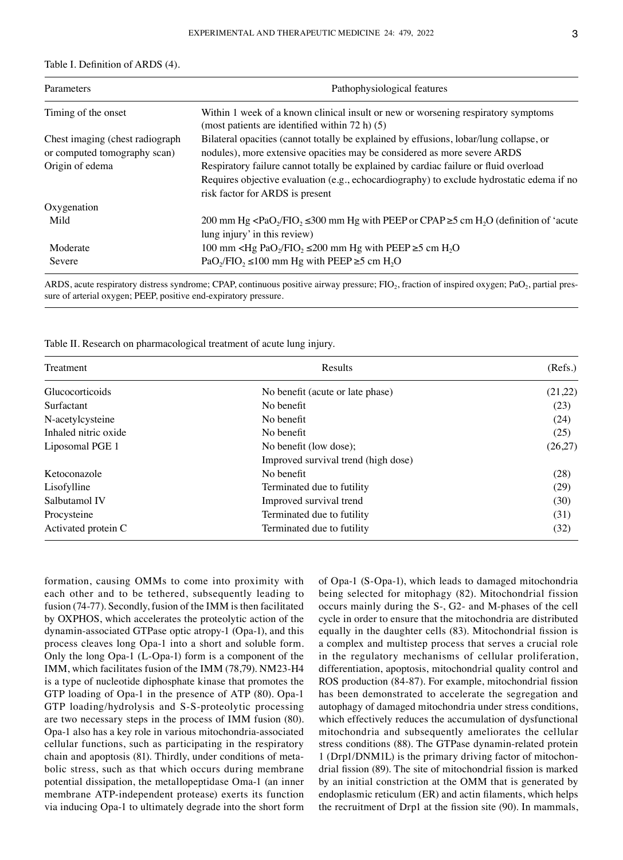#### Table I. Definition of ARDS (4).

| Parameters                                                       | Pathophysiological features                                                                                                                                                                                          |
|------------------------------------------------------------------|----------------------------------------------------------------------------------------------------------------------------------------------------------------------------------------------------------------------|
| Timing of the onset                                              | Within 1 week of a known clinical insult or new or worsening respiratory symptoms<br>(most patients are identified within 72 h) (5)                                                                                  |
| Chest imaging (chest radiograph)<br>or computed tomography scan) | Bilateral opacities (cannot totally be explained by effusions, lobar/lung collapse, or<br>nodules), more extensive opacities may be considered as more severe ARDS                                                   |
| Origin of edema                                                  | Respiratory failure cannot totally be explained by cardiac failure or fluid overload<br>Requires objective evaluation (e.g., echocardiography) to exclude hydrostatic edema if no<br>risk factor for ARDS is present |
| Oxygenation                                                      |                                                                                                                                                                                                                      |
| Mild                                                             | 200 mm Hg <pao<sub>2/FIO<sub>2</sub> ≤ 300 mm Hg with PEEP or CPAP ≥ 5 cm H<sub>2</sub>O (definition of 'acute<br/>lung injury' in this review)</pao<sub>                                                            |
| Moderate                                                         | 100 mm <hg pao<sub="">2/FIO<sub>2</sub> <math>\leq</math>200 mm Hg with PEEP <math>\geq</math>5 cm H<sub>2</sub>O</hg>                                                                                               |
| Severe                                                           | PaO <sub>2</sub> /FIO <sub>2</sub> $\leq$ 100 mm Hg with PEEP $\geq$ 5 cm H <sub>2</sub> O                                                                                                                           |

ARDS, acute respiratory distress syndrome; CPAP, continuous positive airway pressure; FIO<sub>2</sub>, fraction of inspired oxygen; PaO<sub>2</sub>, partial pressure of arterial oxygen; PEEP, positive end-expiratory pressure.

| Table II. Research on pharmacological treatment of acute lung injury. |  |  |  |
|-----------------------------------------------------------------------|--|--|--|
|-----------------------------------------------------------------------|--|--|--|

| Treatment            | <b>Results</b>                      | (Refs.) |
|----------------------|-------------------------------------|---------|
| Glucocorticoids      | No benefit (acute or late phase)    | (21,22) |
| Surfactant           | No benefit                          | (23)    |
| N-acetylcysteine     | No benefit                          | (24)    |
| Inhaled nitric oxide | No benefit                          | (25)    |
| Liposomal PGE 1      | No benefit (low dose);              | (26,27) |
|                      | Improved survival trend (high dose) |         |
| Ketoconazole         | No benefit                          | (28)    |
| Lisofylline          | Terminated due to futility          | (29)    |
| Salbutamol IV        | Improved survival trend             | (30)    |
| Procysteine          | Terminated due to futility          | (31)    |
| Activated protein C  | Terminated due to futility          | (32)    |

formation, causing OMMs to come into proximity with each other and to be tethered, subsequently leading to fusion (74‑77). Secondly, fusion of the IMM is then facilitated by OXPHOS, which accelerates the proteolytic action of the dynamin-associated GTPase optic atropy-1 (Opa-1), and this process cleaves long Opa‑1 into a short and soluble form. Only the long Opa‑1 (L‑Opa‑1) form is a component of the IMM, which facilitates fusion of the IMM (78,79). NM23‑H4 is a type of nucleotide diphosphate kinase that promotes the GTP loading of Opa-1 in the presence of ATP (80). Opa-1 GTP loading/hydrolysis and S‑S‑proteolytic processing are two necessary steps in the process of IMM fusion (80). Opa‑1 also has a key role in various mitochondria‑associated cellular functions, such as participating in the respiratory chain and apoptosis (81). Thirdly, under conditions of metabolic stress, such as that which occurs during membrane potential dissipation, the metallopeptidase Oma-1 (an inner membrane ATP‑independent protease) exerts its function via inducing Opa‑1 to ultimately degrade into the short form of Opa‑1 (S‑Opa‑1), which leads to damaged mitochondria being selected for mitophagy (82). Mitochondrial fission occurs mainly during the S‑, G2‑ and M‑phases of the cell cycle in order to ensure that the mitochondria are distributed equally in the daughter cells (83). Mitochondrial fission is a complex and multistep process that serves a crucial role in the regulatory mechanisms of cellular proliferation, differentiation, apoptosis, mitochondrial quality control and ROS production (84‑87). For example, mitochondrial fission has been demonstrated to accelerate the segregation and autophagy of damaged mitochondria under stress conditions, which effectively reduces the accumulation of dysfunctional mitochondria and subsequently ameliorates the cellular stress conditions (88). The GTPase dynamin‑related protein 1 (Drp1/DNM1L) is the primary driving factor of mitochon‑ drial fission (89). The site of mitochondrial fission is marked by an initial constriction at the OMM that is generated by endoplasmic reticulum (ER) and actin filaments, which helps the recruitment of Drp1 at the fission site (90). In mammals,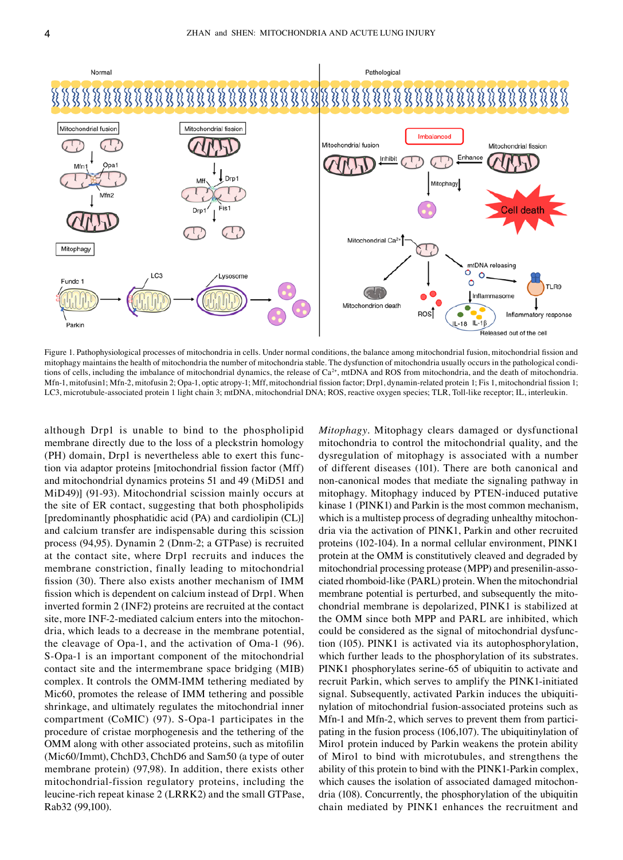

Figure 1. Pathophysiological processes of mitochondria in cells. Under normal conditions, the balance among mitochondrial fusion, mitochondrial fission and mitophagy maintains the health of mitochondria the number of mitochondria stable. The dysfunction of mitochondria usually occurs in the pathological conditions of cells, including the imbalance of mitochondrial dynamics, the release of  $Ca<sup>2+</sup>$ , mtDNA and ROS from mitochondria, and the death of mitochondria. Mfn-1, mitofusin1; Mfn-2, mitofusin 2; Opa-1, optic atropy-1; Mff, mitochondrial fission factor; Drp1, dynamin-related protein 1; Fis 1, mitochondrial fission 1; LC3, microtubule-associated protein 1 light chain 3; mtDNA, mitochondrial DNA; ROS, reactive oxygen species; TLR, Toll-like receptor; IL, interleukin.

although Drp1 is unable to bind to the phospholipid membrane directly due to the loss of a pleckstrin homology (PH) domain, Drp1 is nevertheless able to exert this function via adaptor proteins [mitochondrial fission factor (Mff) and mitochondrial dynamics proteins 51 and 49 (MiD51 and MiD49)] (91‑93). Mitochondrial scission mainly occurs at the site of ER contact, suggesting that both phospholipids [predominantly phosphatidic acid (PA) and cardiolipin (CL)] and calcium transfer are indispensable during this scission process (94,95). Dynamin 2 (Dnm‑2; a GTPase) is recruited at the contact site, where Drp1 recruits and induces the membrane constriction, finally leading to mitochondrial fission (30). There also exists another mechanism of IMM fission which is dependent on calcium instead of Drp1. When inverted formin 2 (INF2) proteins are recruited at the contact site, more INF-2-mediated calcium enters into the mitochondria, which leads to a decrease in the membrane potential, the cleavage of Opa‑1, and the activation of Oma‑1 (96). S-Opa-1 is an important component of the mitochondrial contact site and the intermembrane space bridging (MIB) complex. It controls the OMM‑IMM tethering mediated by Mic60, promotes the release of IMM tethering and possible shrinkage, and ultimately regulates the mitochondrial inner compartment (CoMIC) (97). S‑Opa‑1 participates in the procedure of cristae morphogenesis and the tethering of the OMM along with other associated proteins, such as mitofilin (Mic60/Immt), ChchD3, ChchD6 and Sam50 (a type of outer membrane protein) (97,98). In addition, there exists other mitochondrial-fission regulatory proteins, including the leucine‑rich repeat kinase 2 (LRRK2) and the small GTPase, Rab32 (99,100).

*Mitophagy.* Mitophagy clears damaged or dysfunctional mitochondria to control the mitochondrial quality, and the dysregulation of mitophagy is associated with a number of different diseases (101). There are both canonical and non‑canonical modes that mediate the signaling pathway in mitophagy. Mitophagy induced by PTEN‑induced putative kinase 1 (PINK1) and Parkin is the most common mechanism, which is a multistep process of degrading unhealthy mitochondria via the activation of PINK1, Parkin and other recruited proteins (102‑104). In a normal cellular environment, PINK1 protein at the OMM is constitutively cleaved and degraded by mitochondrial processing protease (MPP) and presenilin-associated rhomboid‑like (PARL) protein. When the mitochondrial membrane potential is perturbed, and subsequently the mitochondrial membrane is depolarized, PINK1 is stabilized at the OMM since both MPP and PARL are inhibited, which could be considered as the signal of mitochondrial dysfunction (105). PINK1 is activated via its autophosphorylation, which further leads to the phosphorylation of its substrates. PINK1 phosphorylates serine–65 of ubiquitin to activate and recruit Parkin, which serves to amplify the PINK1-initiated signal. Subsequently, activated Parkin induces the ubiquitinylation of mitochondrial fusion‑associated proteins such as Mfn-1 and Mfn-2, which serves to prevent them from participating in the fusion process (106,107). The ubiquitinylation of Miro1 protein induced by Parkin weakens the protein ability of Miro1 to bind with microtubules, and strengthens the ability of this protein to bind with the PINK1-Parkin complex, which causes the isolation of associated damaged mitochondria (108). Concurrently, the phosphorylation of the ubiquitin chain mediated by PINK1 enhances the recruitment and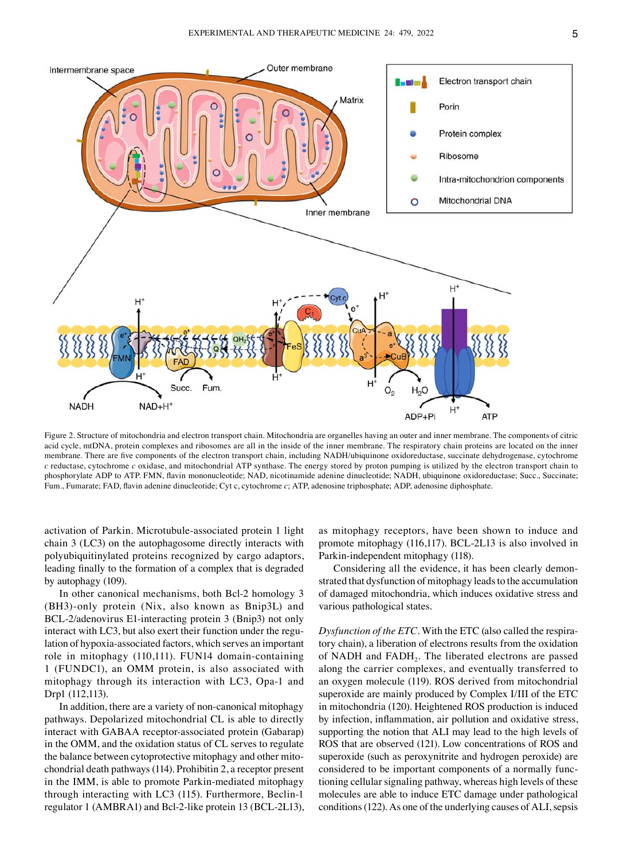

Figure 2. Structure of mitochondria and electron transport chain. Mitochondria are organelles having an outer and inner membrane. The components of citric acid cycle, mtDNA, protein complexes and ribosomes are all in the inside of the inner membrane. The respiratory chain proteins are located on the inner membrane. There are five components of the electron transport chain, including NADH/ubiquinone oxidoreductase, succinate dehydrogenase, cytochrome *c* reductase, cytochrome *c* oxidase, and mitochondrial ATP synthase. The energy stored by proton pumping is utilized by the electron transport chain to phosphorylate ADP to ATP. FMN, flavin mononucleotide; NAD, nicotinamide adenine dinucleotide; NADH, ubiquinone oxidoreductase; Succ., Succinate; Fum., Fumarate; FAD, flavin adenine dinucleotide; Cyt c, cytochrome *c*; ATP, adenosine triphosphate; ADP, adenosine diphosphate.

activation of Parkin. Microtubule‑associated protein 1 light chain 3 (LC3) on the autophagosome directly interacts with polyubiquitinylated proteins recognized by cargo adaptors, leading finally to the formation of a complex that is degraded by autophagy (109).

In other canonical mechanisms, both Bcl-2 homology 3 (BH3)-only protein (Nix, also known as Bnip3L) and BCL–2/adenovirus E1-interacting protein 3 (Bnip3) not only interact with LC3, but also exert their function under the regulation of hypoxia‑associated factors, which serves an important role in mitophagy (110,111). FUN14 domain‑containing 1 (FUNDC1), an OMM protein, is also associated with mitophagy through its interaction with LC3, Opa‑1 and Drp1 (112,113).

In addition, there are a variety of non‑canonical mitophagy pathways. Depolarized mitochondrial CL is able to directly interact with GABAA receptor‑associated protein (Gabarap) in the OMM, and the oxidation status of CL serves to regulate the balance between cytoprotective mitophagy and other mitochondrial death pathways (114). Prohibitin 2, a receptor present in the IMM, is able to promote Parkin-mediated mitophagy through interacting with LC3 (115). Furthermore, Beclin-1 regulator 1 (AMBRA1) and Bcl-2-like protein 13 (BCL-2L13), as mitophagy receptors, have been shown to induce and promote mitophagy (116,117). BCL‑2L13 is also involved in Parkin-independent mitophagy (118).

Considering all the evidence, it has been clearly demonstrated that dysfunction of mitophagy leads to the accumulation of damaged mitochondria, which induces oxidative stress and various pathological states.

*Dysfunction of the ETC*. With the ETC (also called the respiratory chain), a liberation of electrons results from the oxidation of NADH and  $FADH<sub>2</sub>$ . The liberated electrons are passed along the carrier complexes, and eventually transferred to an oxygen molecule (119). ROS derived from mitochondrial superoxide are mainly produced by Complex I/III of the ETC in mitochondria (120). Heightened ROS production is induced by infection, inflammation, air pollution and oxidative stress, supporting the notion that ALI may lead to the high levels of ROS that are observed (121). Low concentrations of ROS and superoxide (such as peroxynitrite and hydrogen peroxide) are considered to be important components of a normally functioning cellular signaling pathway, whereas high levels of these molecules are able to induce ETC damage under pathological conditions(122). As one of the underlying causes of ALI, sepsis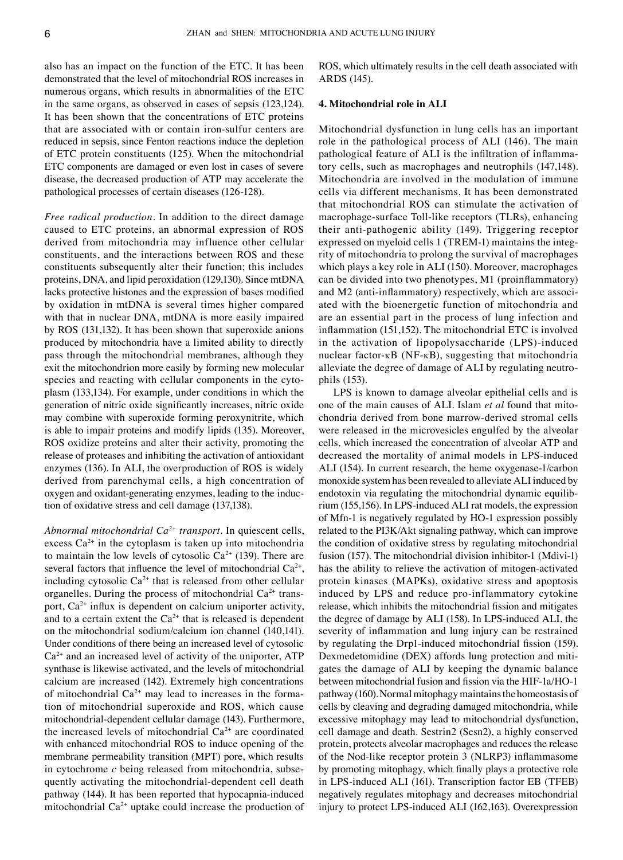also has an impact on the function of the ETC. It has been demonstrated that the level of mitochondrial ROS increases in numerous organs, which results in abnormalities of the ETC in the same organs, as observed in cases of sepsis (123,124). It has been shown that the concentrations of ETC proteins that are associated with or contain iron‑sulfur centers are reduced in sepsis, since Fenton reactions induce the depletion of ETC protein constituents (125). When the mitochondrial ETC components are damaged or even lost in cases of severe disease, the decreased production of ATP may accelerate the pathological processes of certain diseases (126‑128).

*Free radical production.* In addition to the direct damage caused to ETC proteins, an abnormal expression of ROS derived from mitochondria may influence other cellular constituents, and the interactions between ROS and these constituents subsequently alter their function; this includes proteins, DNA, and lipid peroxidation (129,130). Since mtDNA lacks protective histones and the expression of bases modified by oxidation in mtDNA is several times higher compared with that in nuclear DNA, mtDNA is more easily impaired by ROS (131,132). It has been shown that superoxide anions produced by mitochondria have a limited ability to directly pass through the mitochondrial membranes, although they exit the mitochondrion more easily by forming new molecular species and reacting with cellular components in the cytoplasm (133,134). For example, under conditions in which the generation of nitric oxide significantly increases, nitric oxide may combine with superoxide forming peroxynitrite, which is able to impair proteins and modify lipids (135). Moreover, ROS oxidize proteins and alter their activity, promoting the release of proteases and inhibiting the activation of antioxidant enzymes (136). In ALI, the overproduction of ROS is widely derived from parenchymal cells, a high concentration of oxygen and oxidant-generating enzymes, leading to the induction of oxidative stress and cell damage (137,138).

*Abnormal mitochondrial Ca2+ transport.* In quiescent cells, excess  $Ca^{2+}$  in the cytoplasm is taken up into mitochondria to maintain the low levels of cytosolic  $Ca^{2+}$  (139). There are several factors that influence the level of mitochondrial  $Ca^{2+}$ , including cytosolic  $Ca^{2+}$  that is released from other cellular organelles. During the process of mitochondrial  $Ca^{2+}$  transport,  $Ca<sup>2+</sup>$  influx is dependent on calcium uniporter activity, and to a certain extent the  $Ca^{2+}$  that is released is dependent on the mitochondrial sodium/calcium ion channel (140,141). Under conditions of there being an increased level of cytosolic  $Ca<sup>2+</sup>$  and an increased level of activity of the uniporter, ATP synthase is likewise activated, and the levels of mitochondrial calcium are increased (142). Extremely high concentrations of mitochondrial  $Ca^{2+}$  may lead to increases in the formation of mitochondrial superoxide and ROS, which cause mitochondrial-dependent cellular damage (143). Furthermore, the increased levels of mitochondrial  $Ca<sup>2+</sup>$  are coordinated with enhanced mitochondrial ROS to induce opening of the membrane permeability transition (MPT) pore, which results in cytochrome  $c$  being released from mitochondria, subsequently activating the mitochondrial-dependent cell death pathway (144). It has been reported that hypocapnia‑induced mitochondrial Ca2+ uptake could increase the production of ROS, which ultimately results in the cell death associated with ARDS (145).

## **4. Mitochondrial role in ALI**

Mitochondrial dysfunction in lung cells has an important role in the pathological process of ALI (146). The main pathological feature of ALI is the infiltration of inflammatory cells, such as macrophages and neutrophils (147,148). Mitochondria are involved in the modulation of immune cells via different mechanisms. It has been demonstrated that mitochondrial ROS can stimulate the activation of macrophage-surface Toll-like receptors (TLRs), enhancing their anti-pathogenic ability (149). Triggering receptor expressed on myeloid cells 1 (TREM-1) maintains the integrity of mitochondria to prolong the survival of macrophages which plays a key role in ALI (150). Moreover, macrophages can be divided into two phenotypes, M1 (proinflammatory) and M2 (anti-inflammatory) respectively, which are associated with the bioenergetic function of mitochondria and are an essential part in the process of lung infection and inflammation (151,152). The mitochondrial ETC is involved in the activation of lipopolysaccharide (LPS)-induced nuclear factor- $\kappa$ B (NF- $\kappa$ B), suggesting that mitochondria alleviate the degree of damage of ALI by regulating neutrophils (153).

LPS is known to damage alveolar epithelial cells and is one of the main causes of ALI. Islam *et al* found that mitochondria derived from bone marrow‑derived stromal cells were released in the microvesicles engulfed by the alveolar cells, which increased the concentration of alveolar ATP and decreased the mortality of animal models in LPS‑induced ALI (154). In current research, the heme oxygenase-1/carbon monoxide system has been revealed to alleviate ALI induced by endotoxin via regulating the mitochondrial dynamic equilibrium (155,156). In LPS‑induced ALI rat models, the expression of Mfn‑1 is negatively regulated by HO‑1 expression possibly related to the PI3K/Akt signaling pathway, which can improve the condition of oxidative stress by regulating mitochondrial fusion (157). The mitochondrial division inhibitor-1 (Mdivi-1) has the ability to relieve the activation of mitogen-activated protein kinases (MAPKs), oxidative stress and apoptosis induced by LPS and reduce pro‑inflammatory cytokine release, which inhibits the mitochondrial fission and mitigates the degree of damage by ALI (158). In LPS‑induced ALI, the severity of inflammation and lung injury can be restrained by regulating the Drp1‑induced mitochondrial fission (159). Dexmedetomidine (DEX) affords lung protection and mitigates the damage of ALI by keeping the dynamic balance between mitochondrial fusion and fission via the HIF‑1a/HO‑1 pathway (160). Normal mitophagy maintains the homeostasis of cells by cleaving and degrading damaged mitochondria, while excessive mitophagy may lead to mitochondrial dysfunction, cell damage and death. Sestrin2 (Sesn2), a highly conserved protein, protects alveolar macrophages and reduces the release of the Nod-like receptor protein 3 (NLRP3) inflammasome by promoting mitophagy, which finally plays a protective role in LPS‑induced ALI (161). Transcription factor EB (TFEB) negatively regulates mitophagy and decreases mitochondrial injury to protect LPS‑induced ALI (162,163). Overexpression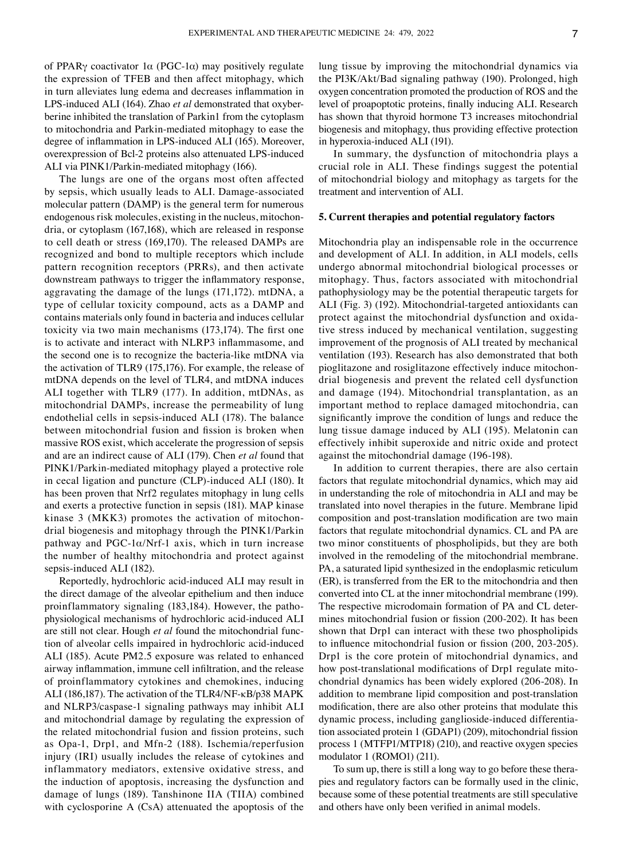of PPARγ coactivator 1α (PGC‑1α) may positively regulate the expression of TFEB and then affect mitophagy, which in turn alleviates lung edema and decreases inflammation in LPS-induced ALI (164). Zhao *et al* demonstrated that oxyberberine inhibited the translation of Parkin1 from the cytoplasm to mitochondria and Parkin‑mediated mitophagy to ease the degree of inflammation in LPS-induced ALI (165). Moreover, overexpression of Bcl‑2 proteins also attenuated LPS‑induced ALI via PINK1/Parkin-mediated mitophagy (166).

The lungs are one of the organs most often affected by sepsis, which usually leads to ALI. Damage-associated molecular pattern (DAMP) is the general term for numerous endogenous risk molecules, existing in the nucleus, mitochondria, or cytoplasm (167,168), which are released in response to cell death or stress (169,170). The released DAMPs are recognized and bond to multiple receptors which include pattern recognition receptors (PRRs), and then activate downstream pathways to trigger the inflammatory response, aggravating the damage of the lungs (171,172). mtDNA, a type of cellular toxicity compound, acts as a DAMP and contains materials only found in bacteria and induces cellular toxicity via two main mechanisms (173,174). The first one is to activate and interact with NLRP3 inflammasome, and the second one is to recognize the bacteria‑like mtDNA via the activation of TLR9 (175,176). For example, the release of mtDNA depends on the level of TLR4, and mtDNA induces ALI together with TLR9 (177). In addition, mtDNAs, as mitochondrial DAMPs, increase the permeability of lung endothelial cells in sepsis‑induced ALI (178). The balance between mitochondrial fusion and fission is broken when massive ROS exist, which accelerate the progression of sepsis and are an indirect cause of ALI (179). Chen *et al* found that PINK1/Parkin‑mediated mitophagy played a protective role in cecal ligation and puncture (CLP)‑induced ALI (180). It has been proven that Nrf2 regulates mitophagy in lung cells and exerts a protective function in sepsis (181). MAP kinase kinase 3 (MKK3) promotes the activation of mitochondrial biogenesis and mitophagy through the PINK1/Parkin pathway and PGC-1 $\alpha$ /Nrf-1 axis, which in turn increase the number of healthy mitochondria and protect against sepsis-induced ALI (182).

Reportedly, hydrochloric acid‑induced ALI may result in the direct damage of the alveolar epithelium and then induce proinflammatory signaling (183,184). However, the pathophysiological mechanisms of hydrochloric acid‑induced ALI are still not clear. Hough *et al* found the mitochondrial function of alveolar cells impaired in hydrochloric acid‑induced ALI (185). Acute PM2.5 exposure was related to enhanced airway inflammation, immune cell infiltration, and the release of proinflammatory cytokines and chemokines, inducing ALI (186,187). The activation of the TLR4/NF‑κB/p38 MAPK and NLRP3/caspase‑1 signaling pathways may inhibit ALI and mitochondrial damage by regulating the expression of the related mitochondrial fusion and fission proteins, such as Opa‑1, Drp1, and Mfn‑2 (188). Ischemia/reperfusion injury (IRI) usually includes the release of cytokines and inflammatory mediators, extensive oxidative stress, and the induction of apoptosis, increasing the dysfunction and damage of lungs (189). Tanshinone IIA (TIIA) combined with cyclosporine A (CsA) attenuated the apoptosis of the lung tissue by improving the mitochondrial dynamics via the PI3K/Akt/Bad signaling pathway (190). Prolonged, high oxygen concentration promoted the production of ROS and the level of proapoptotic proteins, finally inducing ALI. Research has shown that thyroid hormone T3 increases mitochondrial biogenesis and mitophagy, thus providing effective protection in hyperoxia‑induced ALI (191).

In summary, the dysfunction of mitochondria plays a crucial role in ALI. These findings suggest the potential of mitochondrial biology and mitophagy as targets for the treatment and intervention of ALI.

#### **5. Current therapies and potential regulatory factors**

Mitochondria play an indispensable role in the occurrence and development of ALI. In addition, in ALI models, cells undergo abnormal mitochondrial biological processes or mitophagy. Thus, factors associated with mitochondrial pathophysiology may be the potential therapeutic targets for ALI (Fig. 3) (192). Mitochondrial-targeted antioxidants can protect against the mitochondrial dysfunction and oxidative stress induced by mechanical ventilation, suggesting improvement of the prognosis of ALI treated by mechanical ventilation (193). Research has also demonstrated that both pioglitazone and rosiglitazone effectively induce mitochondrial biogenesis and prevent the related cell dysfunction and damage (194). Mitochondrial transplantation, as an important method to replace damaged mitochondria, can significantly improve the condition of lungs and reduce the lung tissue damage induced by ALI (195). Melatonin can effectively inhibit superoxide and nitric oxide and protect against the mitochondrial damage (196‑198).

In addition to current therapies, there are also certain factors that regulate mitochondrial dynamics, which may aid in understanding the role of mitochondria in ALI and may be translated into novel therapies in the future. Membrane lipid composition and post-translation modification are two main factors that regulate mitochondrial dynamics. CL and PA are two minor constituents of phospholipids, but they are both involved in the remodeling of the mitochondrial membrane. PA, a saturated lipid synthesized in the endoplasmic reticulum (ER), is transferred from the ER to the mitochondria and then converted into CL at the inner mitochondrial membrane (199). The respective microdomain formation of PA and CL determines mitochondrial fusion or fission (200‑202). It has been shown that Drp1 can interact with these two phospholipids to influence mitochondrial fusion or fission (200, 203‑205). Drp1 is the core protein of mitochondrial dynamics, and how post-translational modifications of Drp1 regulate mitochondrial dynamics has been widely explored (206‑208). In addition to membrane lipid composition and post-translation modification, there are also other proteins that modulate this dynamic process, including ganglioside-induced differentiation associated protein 1 (GDAP1) (209), mitochondrial fission process 1 (MTFP1/MTP18) (210), and reactive oxygen species modulator 1 (ROMO1) (211).

To sum up, there is still a long way to go before these thera‑ pies and regulatory factors can be formally used in the clinic, because some of these potential treatments are still speculative and others have only been verified in animal models.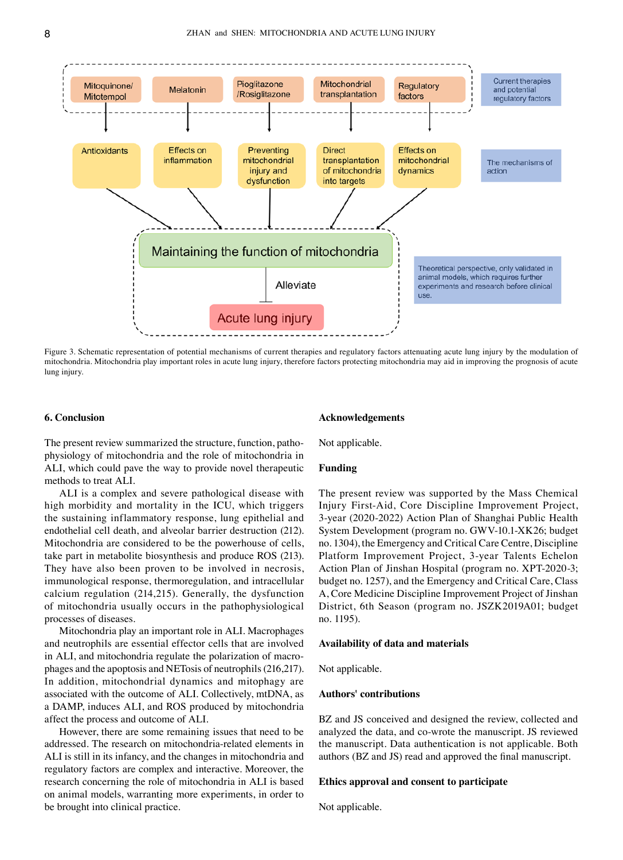

Figure 3. Schematic representation of potential mechanisms of current therapies and regulatory factors attenuating acute lung injury by the modulation of mitochondria. Mitochondria play important roles in acute lung injury, therefore factors protecting mitochondria may aid in improving the prognosis of acute lung injury.

#### **6. Conclusion**

The present review summarized the structure, function, pathophysiology of mitochondria and the role of mitochondria in ALI, which could pave the way to provide novel therapeutic methods to treat ALI.

ALI is a complex and severe pathological disease with high morbidity and mortality in the ICU, which triggers the sustaining inflammatory response, lung epithelial and endothelial cell death, and alveolar barrier destruction (212). Mitochondria are considered to be the powerhouse of cells, take part in metabolite biosynthesis and produce ROS (213). They have also been proven to be involved in necrosis, immunological response, thermoregulation, and intracellular calcium regulation (214,215). Generally, the dysfunction of mitochondria usually occurs in the pathophysiological processes of diseases.

Mitochondria play an important role in ALI. Macrophages and neutrophils are essential effector cells that are involved in ALI, and mitochondria regulate the polarization of macrophages and the apoptosis and NETosis of neutrophils(216,217). In addition, mitochondrial dynamics and mitophagy are associated with the outcome of ALI. Collectively, mtDNA, as a DAMP, induces ALI, and ROS produced by mitochondria affect the process and outcome of ALI.

However, there are some remaining issues that need to be addressed. The research on mitochondria‑related elements in ALI is still in its infancy, and the changes in mitochondria and regulatory factors are complex and interactive. Moreover, the research concerning the role of mitochondria in ALI is based on animal models, warranting more experiments, in order to be brought into clinical practice.

#### **Acknowledgements**

Not applicable.

## **Funding**

The present review was supported by the Mass Chemical Injury First‑Aid, Core Discipline Improvement Project, 3‑year (2020‑2022) Action Plan of Shanghai Public Health System Development (program no. GWV‑10.1‑XK26; budget no. 1304), the Emergency and Critical Care Centre, Discipline Platform Improvement Project, 3‑year Talents Echelon Action Plan of Jinshan Hospital (program no. XPT-2020-3; budget no. 1257), and the Emergency and Critical Care, Class A, Core Medicine Discipline Improvement Project of Jinshan District, 6th Season (program no. JSZK2019A01; budget no. 1195).

#### **Availability of data and materials**

Not applicable.

## **Authors' contributions**

BZ and JS conceived and designed the review, collected and analyzed the data, and co‑wrote the manuscript. JS reviewed the manuscript. Data authentication is not applicable. Both authors (BZ and JS) read and approved the final manuscript.

## **Ethics approval and consent to participate**

Not applicable.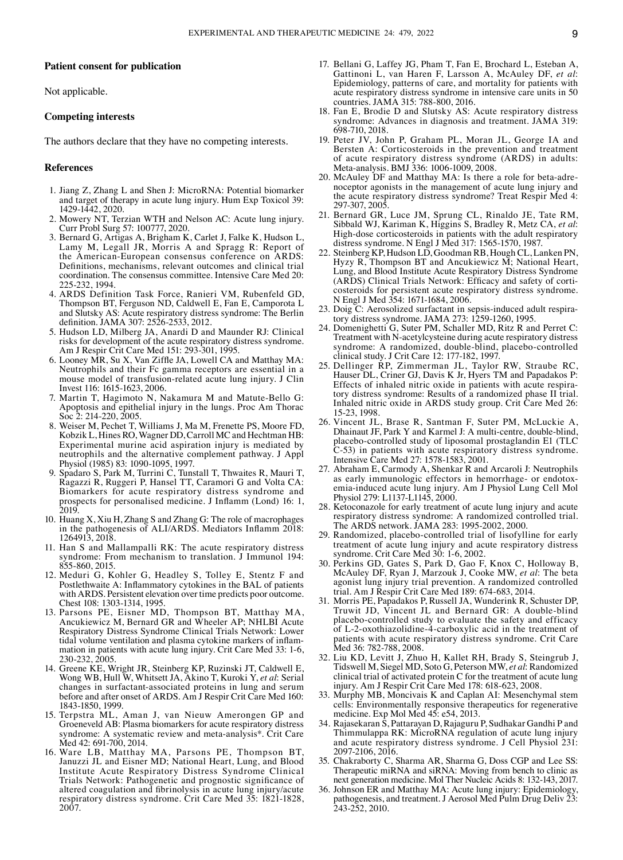## **Patient consent for publication**

Not applicable.

#### **Competing interests**

The authors declare that they have no competing interests.

#### **References**

- 1. Jiang Z, Zhang L and Shen J: MicroRNA: Potential biomarker and target of therapy in acute lung injury. Hum Exp Toxicol 39: 1429‑1442, 2020.
- 2. Mowery NT, Terzian WTH and Nelson AC: Acute lung injury. Curr Probl Surg 57: 100777, 2020.
- 3. Bernard G, Artigas A, Brigham K, Carlet J, Falke K, Hudson L, Lamy M, Legall JR, Morris A and Spragg R: Report of the American‑European consensus conference on ARDS: Definitions, mechanisms, relevant outcomes and clinical trial coordination. The consensus committee. Intensive Care Med 20: 225‑232, 1994.
- 4. ARDS Definition Task Force, Ranieri VM, Rubenfeld GD, Thompson BT, Ferguson ND, Caldwell E, Fan E, Camporota L and Slutsky AS: Acute respiratory distress syndrome: The Berlin definition. JAMA 307: 2526‑2533, 2012.
- 5. Hudson LD, Milberg JA, Anardi D and Maunder RJ: Clinical risks for development of the acute respiratory distress syndrome. Am J Respir Crit Care Med 151: 293‑301, 1995.
- 6. Looney MR, Su X, Van Ziffle JA, Lowell CA and Matthay MA: Neutrophils and their Fc gamma receptors are essential in a mouse model of transfusion-related acute lung injury. J Clin Invest 116: 1615‑1623, 2006.
- 7. Martin T, Hagimoto N, Nakamura M and Matute-Bello G: Apoptosis and epithelial injury in the lungs. Proc Am Thorac Soc 2: 214-220, 2005.
- 8. Weiser M, Pechet T, Williams J, Ma M, Frenette PS, Moore FD, Kobzik L, Hines RO, Wagner DD, Carroll MC and Hechtman HB: Experimental murine acid aspiration injury is mediated by neutrophils and the alternative complement pathway. J Appl Physiol (1985) 83: 1090-1095, 1997.
- 9. Spadaro S, Park M, Turrini C, Tunstall T, Thwaites R, Mauri T, Ragazzi R, Ruggeri P, Hansel TT, Caramori G and Volta CA: Biomarkers for acute respiratory distress syndrome and prospects for personalised medicine. J Inflamm (Lond) 16: 1, 2019.
- 10. Huang X, Xiu H, Zhang S and Zhang G: The role of macrophages in the pathogenesis of ALI/ARDS. Mediators Inflamm 2018: 1264913, 2018.
- 11. Han S and Mallampalli RK: The acute respiratory distress syndrome: From mechanism to translation. J Immunol 194: 855‑860, 2015.
- 12. Meduri G, Kohler G, Headley S, Tolley E, Stentz F and Postlethwaite A: Inflammatory cytokines in the BAL of patients with ARDS. Persistent elevation over time predicts poor outcome. Chest 108: 1303‑1314, 1995.
- 13. Parsons PE, Eisner MD, Thompson BT, Matthay MA, Ancukiewicz M, Bernard GR and Wheeler AP; NHLBI Acute Respiratory Distress Syndrome Clinical Trials Network: Lower<br>tidal volume ventilation and plasma cytokine markers of inflammation in patients with acute lung injury. Crit Care Med 33: 1-6, 230‑232, 2005.
- 14. Greene KE, Wright JR, Steinberg KP, Ruzinski JT, Caldwell E, Wong WB, Hull W, Whitsett JA, Akino T, Kuroki Y, *et al*: Serial changes in surfactant‑associated proteins in lung and serum before and after onset of ARDS. Am J Respir Crit Care Med 160: 1843‑1850, 1999.
- 15. Terpstra ML, Aman J, van Nieuw Amerongen GP and Groeneveld AB: Plasma biomarkers for acute respiratory distress syndrome: A systematic review and meta-analysis<sup>\*</sup>. Crit Care Med 42: 691-700, 2014.
- 16. Ware LB, Matthay MA, Parsons PE, Thompson BT, Januzzi JL and Eisner MD; National Heart, Lung, and Blood Institute Acute Respiratory Distress Syndrome Clinical Trials Network: Pathogenetic and prognostic significance of altered coagulation and fibrinolysis in acute lung injury/acute respiratory distress syndrome. Crit Care Med 35: 1821‑1828, 2007.
- 17. Bellani G, Laffey JG, Pham T, Fan E, Brochard L, Esteban A, Gattinoni L, van Haren F, Larsson A, McAuley DF, *et al*: Epidemiology, patterns of care, and mortality for patients with acute respiratory distress syndrome in intensive care units in 50 countries. JAMA 315: 788‑800, 2016.
- 18. Fan E, Brodie D and Slutsky AS: Acute respiratory distress syndrome: Advances in diagnosis and treatment. JAMA 319: 698‑710, 2018.
- 19. Peter JV, John P, Graham PL, Moran JL, George IA and Bersten A: Corticosteroids in the prevention and treatment of acute respiratory distress syndrome (ARDS) in adults: Meta‑analysis. BMJ 336: 1006‑1009, 2008.
- 20. McAuley DF and Matthay MA: Is there a role for beta-adrenoceptor agonists in the management of acute lung injury and the acute respiratory distress syndrome? Treat Respir Med 4: 297‑307, 2005.
- 21. Bernard GR, Luce JM, Sprung CL, Rinaldo JE, Tate RM, Sibbald WJ, Kariman K, Higgins S, Bradley R, Metz CA, *et al*: High-dose corticosteroids in patients with the adult respiratory distress syndrome. N Engl J Med 317: 1565‑1570, 1987.
- 22. Steinberg KP, Hudson LD, Goodman RB, Hough CL, Lanken PN, Hyzy R, Thompson BT and Ancukiewicz M; National Heart, Lung, and Blood Institute Acute Respiratory Distress Syndrome (ARDS) Clinical Trials Network: Efficacy and safety of corticosteroids for persistent acute respiratory distress syndrome. N Engl J Med 354: 1671‑1684, 2006.
- 23. Doig C: Aerosolized surfactant in sepsis-induced adult respiratory distress syndrome. JAMA 273: 1259-1260, 1995.
- 24. Domenighetti G, Suter PM, Schaller MD, Ritz R and Perret C: Treatment with N‑acetylcysteine during acute respiratory distress syndrome: A randomized, double-blind, placebo-controlled clinical study. J Crit Care 12: 177‑182, 1997.
- 25. Dellinger RP, Zimmerman JL, Taylor RW, Straube RC, Hauser DL, Criner GJ, Davis K Jr, Hyers TM and Papadakos P: Effects of inhaled nitric oxide in patients with acute respiratory distress syndrome: Results of a randomized phase II trial. Inhaled nitric oxide in ARDS study group. Crit Care Med 26: 15‑23, 1998.
- 26. Vincent JL, Brase R, Santman F, Suter PM, McLuckie A, Dhainaut JF, Park Y and Karmel J: A multi-centre, double-blind, placebo‑controlled study of liposomal prostaglandin E1 (TLC C‑53) in patients with acute respiratory distress syndrome. Intensive Care Med 27: 1578‑1583, 2001.
- 27. Abraham E, Carmody A, Shenkar R and Arcaroli J: Neutrophils emia-induced acute lung injury. Am J Physiol Lung Cell Mol Physiol 279: L1137‑L1145, 2000.
- 28. Ketoconazole for early treatment of acute lung injury and acute respiratory distress syndrome: A randomized controlled trial. The ARDS network. JAMA 283: 1995‑2002, 2000.
- 29. Randomized, placebo‑controlled trial of lisofylline for early treatment of acute lung injury and acute respiratory distress syndrome. Crit Care Med 30: 1‑6, 2002.
- 30. Perkins GD, Gates S, Park D, Gao F, Knox C, Holloway B, McAuley DF, Ryan J, Marzouk J, Cooke MW, *et al*: The beta agonist lung injury trial prevention. A randomized controlled trial. Am J Respir Crit Care Med 189: 674‑683, 2014.
- 31. Morris PE, Papadakos P, Russell JA, Wunderink R, Schuster DP, Truwit JD, Vincent JL and Bernard GR: A double-blind placebo‑controlled study to evaluate the safety and efficacy of L‑2‑oxothiazolidine‑4‑carboxylic acid in the treatment of patients with acute respiratory distress syndrome. Crit Care Med 36: 782‑788, 2008.
- 32. Liu KD, Levitt J, Zhuo H, Kallet RH, Brady S, Steingrub J, Tidswell M, Siegel MD, Soto G, Peterson MW, *et al*: Randomized clinical trial of activated protein C for the treatment of acute lung injury. Am J Respir Crit Care Med 178: 618‑623, 2008.
- 33. Murphy MB, Moncivais K and Caplan AI: Mesenchymal stem cells: Environmentally responsive therapeutics for regenerative medicine. Exp Mol Med 45: e54, 2013.
- 34. Rajasekaran S, Pattarayan D, Rajaguru P, Sudhakar Gandhi P and Thimmulappa RK: MicroRNA regulation of acute lung injury and acute respiratory distress syndrome. J Cell Physiol 231: 2097‑2106, 2016.
- 35. Chakraborty C, Sharma AR, Sharma G, Doss CGP and Lee SS: Therapeutic miRNA and siRNA: Moving from bench to clinic as next generation medicine. Mol Ther Nucleic Acids 8: 132‑143, 2017.
- 36. Johnson ER and Matthay MA: Acute lung injury: Epidemiology, pathogenesis, and treatment. J Aerosol Med Pulm Drug Deliv 23: 243‑252, 2010.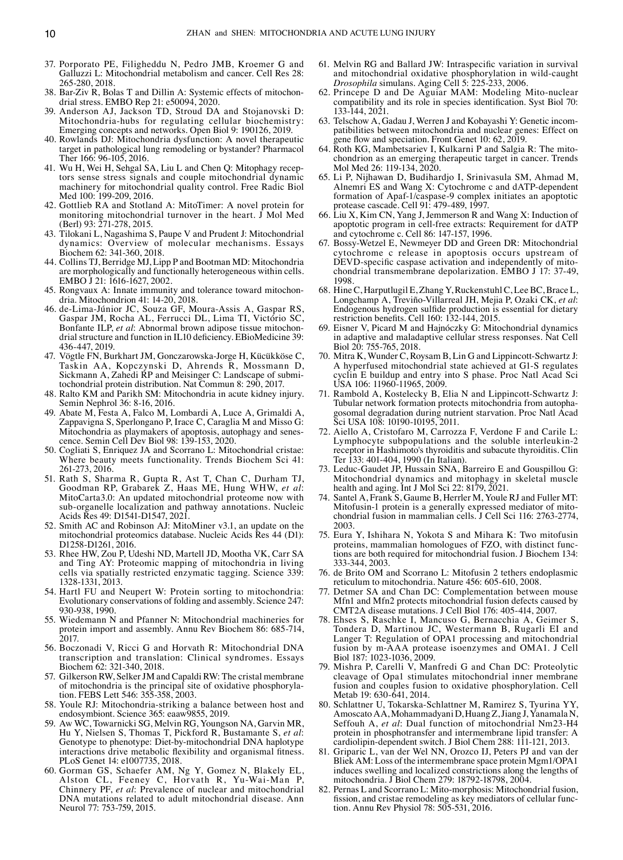- 37. Porporato PE, Filigheddu N, Pedro JMB, Kroemer G and Galluzzi L: Mitochondrial metabolism and cancer. Cell Res 28: 265‑280, 2018.
- 38. Bar-Ziv R, Bolas T and Dillin A: Systemic effects of mitochondrial stress. EMBO Rep 21: e50094, 2020.
- Anderson AJ, Jackson TD, Stroud DA and Stojanovski D: Mitochondria‑hubs for regulating cellular biochemistry: Emerging concepts and networks. Open Biol 9: 190126, 2019.
- 40. Rowlands DJ: Mitochondria dysfunction: A novel therapeutic target in pathological lung remodeling or bystander? Pharmacol Ther 166: 96-105, 2016.
- 41. Wu H, Wei H, Sehgal SA, Liu L and Chen Q: Mitophagy recep‑ tors sense stress signals and couple mitochondrial dynamic machinery for mitochondrial quality control. Free Radic Biol Med 100: 199-209, 2016.
- 42. Gottlieb RA and Stotland A: MitoTimer: A novel protein for monitoring mitochondrial turnover in the heart. J Mol Med (Berl) 93: 271‑278, 2015.
- 43. Tilokani L, Nagashima S, Paupe V and Prudent J: Mitochondrial dynamics: Overview of molecular mechanisms. Essays Biochem 62: 341‑360, 2018.
- 44. Collins TJ, Berridge MJ, Lipp P and Bootman MD: Mitochondria are morphologically and functionally heterogeneous within cells. EMBO J 21: 1616-1627, 2002.
- 45. Rongvaux A: Innate immunity and tolerance toward mitochondria. Mitochondrion 41: 14‑20, 2018.
- 46. de‑Lima‑Júnior JC, Souza GF, Moura‑Assis A, Gaspar RS, Gaspar JM, Rocha AL, Ferrucci DL, Lima TI, Victório SC, Bonfante ILP, et al: Abnormal brown adipose tissue mitochondrial structure and function in IL10 deficiency. EBioMedicine 39: 436‑447, 2019.
- 47. Vögtle FN, Burkhart JM, Gonczarowska‑Jorge H, Kücükköse C, Taskin AA, Kopczynski D, Ahrends R, Mossmann D, Sickmann A, Zahedi RP and Meisinger C: Landscape of submitochondrial protein distribution. Nat Commun 8: 290, 2017.
- 48. Ralto KM and Parikh SM: Mitochondria in acute kidney injury. Semin Nephrol 36: 8‑16, 2016.
- 49. Abate M, Festa A, Falco M, Lombardi A, Luce A, Grimaldi A, Zappavigna S, Sperlongano P, Irace C, Caraglia M and Misso G: Mitochondria as playmakers of apoptosis, autophagy and senescence. Semin Cell Dev Biol 98: 139‑153, 2020.
- 50. Cogliati S, Enriquez JA and Scorrano L: Mitochondrial cristae: Where beauty meets functionality. Trends Biochem Sci 41: 261‑273, 2016.
- 51. Rath S, Sharma R, Gupta R, Ast T, Chan C, Durham TJ, Goodman RP, Grabarek Z, Haas ME, Hung WHW, *et al*: MitoCarta3.0: An updated mitochondrial proteome now with sub‑organelle localization and pathway annotations. Nucleic Acids Res 49: D1541‑D1547, 2021.
- 52. Smith AC and Robinson AJ: MitoMiner v3.1, an update on the mitochondrial proteomics database. Nucleic Acids Res 44 (D1): D1258‑D1261, 2016.
- 53. Rhee HW, Zou P, Udeshi ND, Martell JD, Mootha VK, Carr SA and Ting AY: Proteomic mapping of mitochondria in living cells via spatially restricted enzymatic tagging. Science 339: 1328‑1331, 2013.
- 54. Hartl FU and Neupert W: Protein sorting to mitochondria: Evolutionary conservations of folding and assembly. Science 247: 930‑938, 1990.
- 55. Wiedemann N and Pfanner N: Mitochondrial machineries for protein import and assembly. Annu Rev Biochem 86: 685‑714, 2017.
- 56. Boczonadi V, Ricci G and Horvath R: Mitochondrial DNA transcription and translation: Clinical syndromes. Essays Biochem 62: 321‑340, 2018.
- 57. Gilkerson RW, SelkerJM and Capaldi RW: The cristal membrane of mitochondria is the principal site of oxidative phosphoryla‑ tion. FEBS Lett 546: 355‑358, 2003.
- 58. Youle RJ: Mitochondria‑striking a balance between host and endosymbiont. Science 365: eaaw9855, 2019.
- 59. Aw WC, Towarnicki SG, Melvin RG, Youngson NA, Garvin MR, Hu Y, Nielsen S, Thomas T, Pickford R, Bustamante S, *et al*: Genotype to phenotype: Diet‑by‑mitochondrial DNA haplotype interactions drive metabolic flexibility and organismal fitness. PLoS Genet 14: e1007735, 2018.
- 60. Gorman GS, Schaefer AM, Ng Y, Gomez N, Blakely EL, Alston CL, Feeney C, Horvath R, Yu-Wai-Man P, Chinnery PF, *et al*: Prevalence of nuclear and mitochondrial DNA mutations related to adult mitochondrial disease. Ann Neurol 77: 753‑759, 2015.
- 61. Melvin RG and Ballard JW: Intraspecific variation in survival and mitochondrial oxidative phosphorylation in wild-caught *Drosophila* simulans. Aging Cell 5: 225‑233, 2006.
- 62. Princepe D and De Aguiar MAM: Modeling Mito-nuclear compatibility and its role in species identification. Syst Biol 70: 133‑144, 2021.
- 63. Telschow A, Gadau J, Werren J and Kobayashi Y: Genetic incom‑ patibilities between mitochondria and nuclear genes: Effect on gene flow and speciation. Front Genet 10: 62, 2019.
- 64. Roth KG, Mambetsariev I, Kulkarni P and Salgia R: The mito‑ chondrion as an emerging therapeutic target in cancer. Trends Mol Med 26: 119‑134, 2020.
- 65. Li P, Nijhawan D, Budihardjo I, Srinivasula SM, Ahmad M, Alnemri ES and Wang X: Cytochrome c and dATP‑dependent formation of Apaf-1/caspase-9 complex initiates an apoptotic protease cascade. Cell 91: 479‑489, 1997.
- 66. Liu X, Kim CN, Yang J, Jemmerson R and Wang X: Induction of apoptotic program in cell-free extracts: Requirement for dATP and cytochrome c. Cell 86: 147‑157, 1996.
- 67. Bossy‑Wetzel E, Newmeyer DD and Green DR: Mitochondrial cytochrome c release in apoptosis occurs upstream of DEVD-specific caspase activation and independently of mitochondrial transmembrane depolarization. EMBO J 17: 37‑49, 1998.
- 68. HineC, Harputlugil E, Zhang Y, Ruckenstuhl C, LeeBC, Brace L, Longchamp A, Treviño‑Villarreal JH, Mejia P, Ozaki CK, *et al*: Endogenous hydrogen sulfide production is essential for dietary restriction benefits. Cell 160: 132‑144, 2015.
- 69. Eisner V, Picard M and Hajnóczky G: Mitochondrial dynamics in adaptive and maladaptive cellular stress responses. Nat Cell Biol 20: 755‑765, 2018.
- 70. Mitra K, Wunder C, Roysam B, Lin G and Lippincott‑Schwartz J: A hyperfused mitochondrial state achieved at G1‑S regulates cyclin E buildup and entry into S phase. Proc Natl Acad Sci USA 106: 11960‑11965, 2009.
- 71. Rambold A, Kostelecky B, Elia N and Lippincott-Schwartz J: Tubular network formation protects mitochondria from autophagosomal degradation during nutrient starvation. Proc Natl Acad Sci USA 108: 10190‑10195, 2011.
- 72. Aiello A, Cristofaro M, Carrozza F, Verdone F and Carile L: Lymphocyte subpopulations and the soluble interleukin‑2 receptor in Hashimoto's thyroiditis and subacute thyroiditis. Clin Ter 133: 401-404, 1990 (In Italian).
- 73. Leduc‑Gaudet JP, Hussain SNA, Barreiro E and Gouspillou G: Mitochondrial dynamics and mitophagy in skeletal muscle health and aging. Int J Mol Sci 22: 8179, 2021.
- 74. Santel A, Frank S, Gaume B, Herrler M, Youle RJ and Fuller MT: Mitofusin-1 protein is a generally expressed mediator of mitochondrial fusion in mammalian cells. J Cell Sci 116: 2763‑2774, 2003.
- 75. Eura Y, Ishihara N, Yokota S and Mihara K: Two mitofusin proteins, mammalian homologues of FZO, with distinct functions are both required for mitochondrial fusion. J Biochem 134: 333‑344, 2003.
- 76. de Brito OM and Scorrano L: Mitofusin 2 tethers endoplasmic reticulum to mitochondria. Nature 456: 605‑610, 2008.
- 77. Detmer SA and Chan DC: Complementation between mouse Mfn1 and Mfn2 protects mitochondrial fusion defects caused by CMT2A disease mutations. J Cell Biol 176: 405‑414, 2007.
- 78. Ehses S, Raschke I, Mancuso G, Bernacchia A, Geimer S, Tondera D, Martinou JC, Westermann B, Rugarli EI and Langer T: Regulation of OPA1 processing and mitochondrial fusion by m‑AAA protease isoenzymes and OMA1. J Cell Biol 187: 1023‑1036, 2009.
- 79. Mishra P, Carelli V, Manfredi G and Chan DC: Proteolytic cleavage of Opa1 stimulates mitochondrial inner membrane fusion and couples fusion to oxidative phosphorylation. Cell Metab 19: 630‑641, 2014.
- 80. Schlattner U, Tokarska‑Schlattner M, Ramirez S, Tyurina YY, Amoscato AA, Mohammadyani D, Huang Z, Jiang J, Yanamala N, Seffouh A, *et al*: Dual function of mitochondrial Nm23‑H4 protein in phosphotransfer and intermembrane lipid transfer: A cardiolipin‑dependent switch. J Biol Chem 288: 111‑121, 2013.
- 81. Griparic L, van der Wel NN, Orozco IJ, Peters PJ and van der Bliek AM: Loss of the intermembrane space protein Mgm1/OPA1 induces swelling and localized constrictions along the lengths of mitochondria. J Biol Chem 279: 18792‑18798, 2004.
- 82. Pernas L and Scorrano L: Mito-morphosis: Mitochondrial fusion, fission, and cristae remodeling as key mediators of cellular function. Annu Rev Physiol 78: 505‑531, 2016.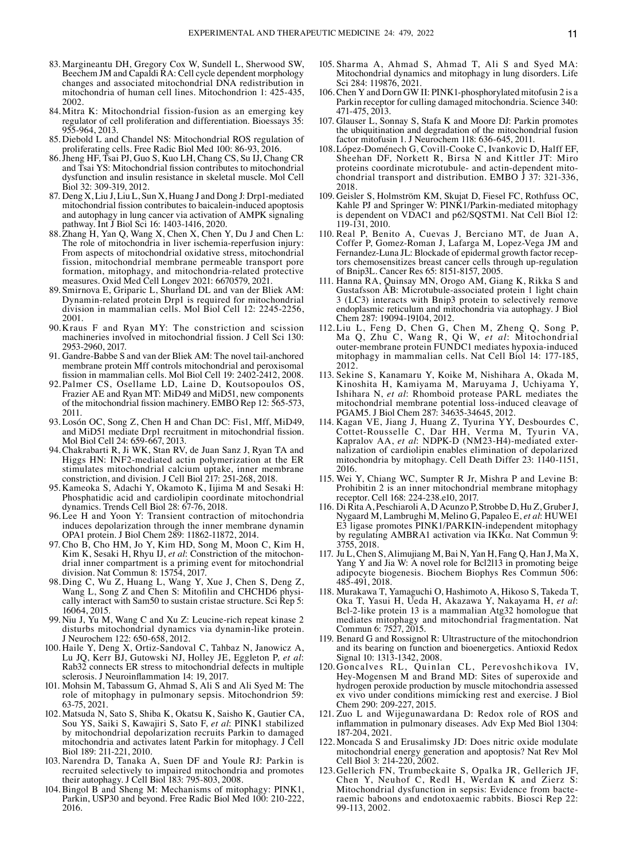- 83. Margineantu DH, Gregory Cox W, Sundell L, Sherwood SW, Beechem JM and Capaldi RA: Cell cycle dependent morphology changes and associated mitochondrial DNA redistribution in mitochondria of human cell lines. Mitochondrion 1: 425‑435, 2002.
- 84. Mitra K: Mitochondrial fission‑fusion as an emerging key regulator of cell proliferation and differentiation. Bioessays 35: 955‑964, 2013.
- 85. Diebold L and Chandel NS: Mitochondrial ROS regulation of proliferating cells. Free Radic Biol Med 100: 86-93, 2016.
- 86.Jheng HF, Tsai PJ, Guo S, Kuo LH, Chang CS, Su IJ, Chang CR and Tsai YS: Mitochondrial fission contributes to mitochondrial dysfunction and insulin resistance in skeletal muscle. Mol Cell Biol 32: 309‑319, 2012.
- 87. Deng X, Liu J, Liu L, Sun X, Huang J and Dong J: Drp1‑mediated mitochondrial fission contributes to baicalein‑induced apoptosis and autophagy in lung cancer via activation of AMPK signaling pathway. Int J Biol Sci 16: 1403‑1416, 2020.
- 88. Zhang H, Yan Q, Wang X, Chen X, Chen Y, Du J and Chen L: The role of mitochondria in liver ischemia-reperfusion injury: From aspects of mitochondrial oxidative stress, mitochondrial fission, mitochondrial membrane permeable transport pore formation, mitophagy, and mitochondria‑related protective measures. Oxid Med Cell Longev 2021: 6670579, 2021.
- 89. Smirnova E, Griparic L, Shurland DL and van der Bliek AM: Dynamin‑related protein Drp1 is required for mitochondrial division in mammalian cells. Mol Biol Cell 12: 2245‑2256, 2001.
- 90. Kraus F and Ryan MY: The constriction and scission machineries involved in mitochondrial fission. J Cell Sci 130: 2953‑2960, 2017.
- 91. Gandre-Babbe S and van der Bliek AM: The novel tail-anchored membrane protein Mff controls mitochondrial and peroxisomal fission in mammalian cells. Mol Biol Cell 19: 2402-2412, 2008.
- 92.Palmer CS, Osellame LD, Laine D, Koutsopoulos OS, Frazier AE and Ryan MT: MiD49 and MiD51, new components of the mitochondrial fission machinery. EMBO Rep 12: 565‑573, 2011.
- 93. Losón OC, Song Z, Chen H and Chan DC: Fis1, Mff, MiD49, and MiD51 mediate Drp1 recruitment in mitochondrial fission. Mol Biol Cell 24: 659‑667, 2013.
- 94.Chakrabarti R, Ji WK, Stan RV, de Juan Sanz J, Ryan TA and Higgs HN: INF2‑mediated actin polymerization at the ER stimulates mitochondrial calcium uptake, inner membrane constriction, and division. J Cell Biol 217: 251‑268, 2018.
- 95. Kameoka S, Adachi Y, Okamoto K, Iijima M and Sesaki H: Phosphatidic acid and cardiolipin coordinate mitochondrial dynamics. Trends Cell Biol 28: 67‑76, 2018.
- 96.Lee H and Yoon Y: Transient contraction of mitochondria induces depolarization through the inner membrane dynamin OPA1 protein. J Biol Chem 289: 11862‑11872, 2014.
- 97. Cho B, Cho HM, Jo Y, Kim HD, Song M, Moon C, Kim H, Kim K, Sesaki H, Rhyu IJ, et al: Constriction of the mitochondrial inner compartment is a priming event for mitochondrial division. Nat Commun 8: 15754, 2017.
- 98. Ding C, Wu Z, Huang L, Wang Y, Xue J, Chen S, Deng Z, Wang L, Song Z and Chen S: Mitofilin and CHCHD6 physically interact with Sam50 to sustain cristae structure. Sci Rep 5: 16064, 2015.
- 99. Niu J, Yu M, Wang C and Xu Z: Leucine-rich repeat kinase 2 disturbs mitochondrial dynamics via dynamin‑like protein. J Neurochem 122: 650‑658, 2012.
- 100. Haile Y, Deng X, Ortiz-Sandoval C, Tahbaz N, Janowicz A, Lu JQ, Kerr BJ, Gutowski NJ, Holley JE, Eggleton P, et al: Rab32 connects ER stress to mitochondrial defects in multiple sclerosis. J Neuroinflammation 14: 19, 2017.
- 101. Mohsin M, Tabassum G, Ahmad S, Ali S and Ali Syed M: The role of mitophagy in pulmonary sepsis. Mitochondrion 59: 63‑75, 2021.
- 102. Matsuda N, Sato S, Shiba K, Okatsu K, Saisho K, Gautier CA, Sou YS, Saiki S, Kawajiri S, Sato F, *et al*: PINK1 stabilized by mitochondrial depolarization recruits Parkin to damaged mitochondria and activates latent Parkin for mitophagy. J Cell Biol 189: 211‑221, 2010.
- 103. Narendra D, Tanaka A, Suen DF and Youle RJ: Parkin is recruited selectively to impaired mitochondria and promotes their autophagy. J Cell Biol 183: 795‑803, 2008.
- 104. Bingol B and Sheng M: Mechanisms of mitophagy: PINK1, Parkin, USP30 and beyond. Free Radic Biol Med 100: 210-222, 2016.
- 105. Sharma A, Ahmad S, Ahmad T, Ali S and Syed MA: Mitochondrial dynamics and mitophagy in lung disorders. Life Sci 284: 119876, 2021.
- 106. Chen Y and Dorn GW II: PINK1‑phosphorylated mitofusin 2 is a Parkin receptor for culling damaged mitochondria. Science 340: 471‑475, 2013.
- 107. Glauser L, Sonnay S, Stafa K and Moore DJ: Parkin promotes the ubiquitination and degradation of the mitochondrial fusion factor mitofusin 1. J Neurochem 118: 636‑645, 2011.
- 108.López‑Doménech G, Covill‑Cooke C, Ivankovic D, Halff EF, Sheehan DF, Norkett R, Birsa N and Kittler JT: Miro proteins coordinate microtubule- and actin-dependent mitochondrial transport and distribution. EMBO J 37: 321‑336, 2018.
- 109. Geisler S, Holmström KM, Skujat D, Fiesel FC, Rothfuss OC, Kahle PJ and Springer W: PINK1/Parkin-mediated mitophagy is dependent on VDAC1 and p62/SQSTM1. Nat Cell Biol 12: 119‑131, 2010.
- 110. Real P, Benito A, Cuevas J, Berciano MT, de Juan A, Coffer P, Gomez‑Roman J, Lafarga M, Lopez‑Vega JM and Fernandez-Luna JL: Blockade of epidermal growth factor receptors chemosensitizes breast cancer cells through up‑regulation of Bnip3L. Cancer Res 65: 8151‑8157, 2005.
- 111. Hanna RA, Quinsay MN, Orogo AM, Giang K, Rikka S and Gustafsson ÅB: Microtubule-associated protein 1 light chain 3 (LC3) interacts with Bnip3 protein to selectively remove endoplasmic reticulum and mitochondria via autophagy. J Biol Chem 287: 19094‑19104, 2012.
- 112. Liu L, Feng D, Chen G, Chen M, Zheng Q, Song P, Ma Q, Zhu C, Wang R, Qi W, *et al*: Mitochondrial outer‑membrane protein FUNDC1 mediates hypoxia‑induced mitophagy in mammalian cells. Nat Cell Biol 14: 177‑185, 2012.
- 113. Sekine S, Kanamaru Y, Koike M, Nishihara A, Okada M, Kinoshita H, Kamiyama M, Maruyama J, Uchiyama Y, Ishihara N, *et al*: Rhomboid protease PARL mediates the mitochondrial membrane potential loss‑induced cleavage of PGAM5. J Biol Chem 287: 34635‑34645, 2012.
- 114. Kagan VE, Jiang J, Huang Z, Tyurina YY, Desbourdes C, Cottet‑Rousselle C, Dar HH, Verma M, Tyurin VA, Kapralov AA, et al: NDPK-D (NM23-H4)-mediated externalization of cardiolipin enables elimination of depolarized mitochondria by mitophagy. Cell Death Differ 23: 1140-1151, 2016.
- 115. Wei Y, Chiang WC, Sumpter R Jr, Mishra P and Levine B: Prohibitin 2 is an inner mitochondrial membrane mitophagy receptor. Cell 168: 224‑238.e10, 2017.
- 116. Di Rita A, Peschiaroli A, D Acunzo P, Strobbe D, Hu Z, GruberJ, Nygaard M, Lambrughi M, Melino G, Papaleo E, *et al*: HUWE1 E3 ligase promotes PINK1/PARKIN‑independent mitophagy by regulating AMBRA1 activation via IKKα. Nat Commun 9: 3755, 2018.
- 117. Ju L, Chen S, Alimujiang M, Bai N, Yan H, Fang Q, Han J, Ma X, Yang Y and Jia W: A novel role for Bcl2l13 in promoting beige adipocyte biogenesis. Biochem Biophys Res Commun 506: 485‑491, 2018.
- 118. Murakawa T, Yamaguchi O, Hashimoto A, Hikoso S, Takeda T, Oka T, Yasui H, Ueda H, Akazawa Y, Nakayama H, *et al*: Bcl-2-like protein 13 is a mammalian Atg32 homologue that mediates mitophagy and mitochondrial fragmentation. Nat Commun 6: 7527, 2015.
- 119. Benard G and Rossignol R: Ultrastructure of the mitochondrion and its bearing on function and bioenergetics. Antioxid Redox Signal 10: 1313‑1342, 2008.
- 120. Goncalves RL, Quinlan CL, Perevoshchikova IV, Hey‑Mogensen M and Brand MD: Sites of superoxide and hydrogen peroxide production by muscle mitochondria assessed ex vivo under conditions mimicking rest and exercise. J Biol Chem 290: 209‑227, 2015.
- 121. Zuo L and Wijegunawardana D: Redox role of ROS and inflammation in pulmonary diseases. Adv Exp Med Biol 1304: 187‑204, 2021.
- 122. Moncada S and Erusalimsky JD: Does nitric oxide modulate mitochondrial energy generation and apoptosis? Nat Rev Mol Cell Biol 3: 214‑220, 2002.
- 123.Gellerich FN, Trumbeckaite S, Opalka JR, Gellerich JF, Chen Y, Neuhof C, Redl H, Werdan K and Zierz S: Mitochondrial dysfunction in sepsis: Evidence from bacteraemic baboons and endotoxaemic rabbits. Biosci Rep 22: 99‑113, 2002.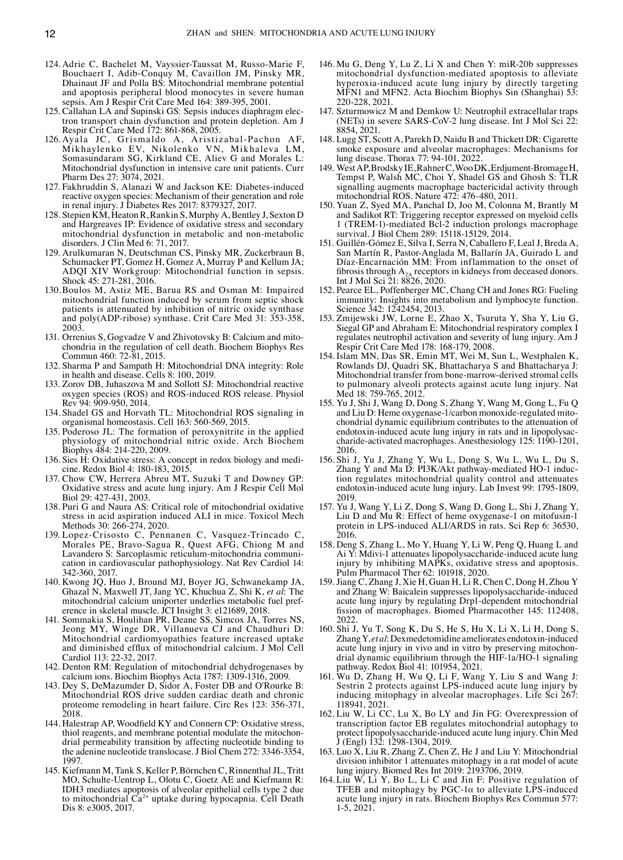- 124. Adrie C, Bachelet M, Vayssier‑Taussat M, Russo‑Marie F, Bouchaert I, Adib‑Conquy M, Cavaillon JM, Pinsky MR, Dhainaut JF and Polla BS: Mitochondrial membrane potential and apoptosis peripheral blood monocytes in severe human sepsis. Am J Respir Crit Care Med 164: 389‑395, 2001.
- 125. Callahan LA and Supinski GS: Sepsis induces diaphragm elec‑ tron transport chain dysfunction and protein depletion. Am J Respir Crit Care Med 172: 861‑868, 2005.
- 126. Ayala JC, Grismaldo A, Aristizabal-Pachon AF, Mikhaylenko EV, Nikolenko VN, Mikhaleva LM, Somasundaram SG, Kirkland CE, Aliev G and Morales L: Mitochondrial dysfunction in intensive care unit patients. Curr Pharm Des 27: 3074, 2021.
- 127. Fakhruddin S, Alanazi W and Jackson KE: Diabetes‑induced reactive oxygen species: Mechanism of their generation and role in renal injury. J Diabetes Res 2017: 8379327, 2017.
- 128. Stepien KM, Heaton R, Rankin S, Murphy A, Bentley J, Sexton D and Hargreaves IP: Evidence of oxidative stress and secondary mitochondrial dysfunction in metabolic and non‑metabolic disorders. J Clin Med 6: 71, 2017.
- 129. Arulkumaran N, Deutschman CS, Pinsky MR, Zuckerbraun B, Schumacker PT, Gomez H, Gomez A, Murray P and Kellum JA; ADQI XIV Workgroup: Mitochondrial function in sepsis. Shock 45: 271‑281, 2016.
- 130.Boulos M, Astiz ME, Barua RS and Osman M: Impaired mitochondrial function induced by serum from septic shock patients is attenuated by inhibition of nitric oxide synthase and poly(ADP-ribose) synthase. Crit Care Med 31: 353-358, 2003.
- 131. Orrenius S, Gogvadze V and Zhivotovsky B: Calcium and mitochondria in the regulation of cell death. Biochem Biophys Res Commun 460: 72‑81, 2015.
- 132. Sharma P and Sampath H: Mitochondrial DNA integrity: Role in health and disease. Cells 8: 100, 2019.
- 133. Zorov DB, Juhaszova M and Sollott SJ: Mitochondrial reactive oxygen species (ROS) and ROS‑induced ROS release. Physiol Rev 94: 909‑950, 2014.
- 134. Shadel GS and Horvath TL: Mitochondrial ROS signaling in organismal homeostasis. Cell 163: 560‑569, 2015.
- 135. Poderoso JL: The formation of peroxynitrite in the applied physiology of mitochondrial nitric oxide. Arch Biochem Biophys 484: 214‑220, 2009.
- 136. Sies H: Oxidative stress: A concept in redox biology and medicine. Redox Biol 4: 180‑183, 2015.
- 137. Chow CW, Herrera Abreu MT, Suzuki T and Downey GP: Oxidative stress and acute lung injury. Am J Respir Cell Mol Biol 29: 427‑431, 2003.
- 138. Puri G and Naura AS: Critical role of mitochondrial oxidative stress in acid aspiration induced ALI in mice. Toxicol Mech Methods 30: 266‑274, 2020.
- 139. Lopez‑Crisosto C, Pennanen C, Vasquez‑Trincado C, Morales PE, Bravo‑Sagua R, Quest AFG, Chiong M and Lavandero S: Sarcoplasmic reticulum‑mitochondria communi‑ cation in cardiovascular pathophysiology. Nat Rev Cardiol 14: 342‑360, 2017.
- 140. Kwong JQ, Huo J, Bround MJ, Boyer JG, Schwanekamp JA, Ghazal N, Maxwell JT, Jang YC, Khuchua Z, Shi K, *et al*: The mitochondrial calcium uniporter underlies metabolic fuel preference in skeletal muscle. JCI Insight 3: e121689, 2018.
- 141. Sommakia S, Houlihan PR, Deane SS, Simcox JA, Torres NS, Mitochondrial cardiomyopathies feature increased uptake and diminished efflux of mitochondrial calcium. J Mol Cell Cardiol 113: 22‑32, 2017.
- 142. Denton RM: Regulation of mitochondrial dehydrogenases by calcium ions. Biochim Biophys Acta 1787: 1309‑1316, 2009.
- 143. Dey S, DeMazumder D, Sidor A, Foster DB and O'Rourke B: Mitochondrial ROS drive sudden cardiac death and chronic proteome remodeling in heart failure. Circ Res 123: 356‑371, 2018.
- 144. Halestrap AP, Woodfield KY and Connern CP: Oxidative stress, thiol reagents, and membrane potential modulate the mitochondrial permeability transition by affecting nucleotide binding to the adenine nucleotide translocase. J Biol Chem 272: 3346‑3354, 1997.
- 145. Kiefmann M, Tank S, Keller P, Börnchen C, Rinnenthal JL, Tritt MO, Schulte‑Uentrop L, Olotu C, Goetz AE and Kiefmann R: IDH3 mediates apoptosis of alveolar epithelial cells type 2 due to mitochondrial  $\tilde{Ca}^{2+}$  uptake during hypocapnia. Cell Death Dis 8: e3005, 2017.
- 146. Mu G, Deng Y, Lu Z, Li X and Chen Y: miR‑20b suppresses mitochondrial dysfunction-mediated apoptosis to alleviate hyperoxia-induced acute lung injury by directly targeting MFN1 and MFN2. Acta Biochim Biophys Sin (Shanghai) 53: 220‑228, 2021.
- 147. Szturmowicz M and Demkow U: Neutrophil extracellular traps (NETs) in severe SARS‑CoV‑2 lung disease. Int J Mol Sci 22: 8854, 2021.
- 148. Lugg ST, Scott A, Parekh D, Naidu B and Thickett DR: Cigarette smoke exposure and alveolar macrophages: Mechanisms for lung disease. Thorax 77: 94‑101, 2022.
- 149. WestAP, BrodskyIE, RahnerC, WooDK, Erdjument‑BromageH, Tempst P, Walsh MC, Choi Y, Shadel GS and Ghosh S: TLR signalling augments macrophage bactericidal activity through mitochondrial ROS. Nature 472: 476‑480, 2011.
- 150. Yuan Z, Syed MA, Panchal D, Joo M, Colonna M, Brantly M and Sadikot RT: Triggering receptor expressed on myeloid cells 1 (TREM-1)-mediated Bcl-2 induction prolongs macrophage survival. J Biol Chem 289: 15118‑15129, 2014.
- 151. Guillén‑Gómez E, Silva I, Serra N, Caballero F, Leal J, Breda A, San Martín R, Pastor‑Anglada M, Ballarín JA, Guirado L and Díaz‑Encarnación MM: From inflammation to the onset of fibrosis through  $A_{2A}$  receptors in kidneys from deceased donors. Int J Mol Sci 21: 8826, 2020.
- 152. Pearce EL, Poffenberger MC, Chang CH and Jones RG: Fueling immunity: Insights into metabolism and lymphocyte function. Science 342: 1242454, 2013.
- 153. Zmijewski JW, Lorne E, Zhao X, Tsuruta Y, Sha Y, Liu G, Siegal GP and Abraham E: Mitochondrial respiratory complex I regulates neutrophil activation and severity of lung injury. Am J Respir Crit Care Med 178: 168‑179, 2008.
- 154. Islam MN, Das SR, Emin MT, Wei M, Sun L, Westphalen K, Rowlands DJ, Quadri SK, Bhattacharya S and Bhattacharya J: Mitochondrial transfer from bone‑marrow‑derived stromal cells to pulmonary alveoli protects against acute lung injury. Nat Med 18: 759‑765, 2012.
- 155. Yu J, Shi J, Wang D, Dong S, Zhang Y, Wang M, Gong L, Fu Q and Liu D: Heme oxygenase-1/carbon monoxide-regulated mitochondrial dynamic equilibrium contributes to the attenuation of endotoxin-induced acute lung injury in rats and in lipopolysaccharide‑activated macrophages. Anesthesiology 125: 1190‑1201, 2016.
- 156. Shi J, Yu J, Zhang Y, Wu L, Dong S, Wu L, Wu L, Du S, Zhang Y and Ma D: PI3K/Akt pathway‑mediated HO‑1 induc‑ tion regulates mitochondrial quality control and attenuates endotoxin-induced acute lung injury. Lab Invest 99: 1795-1809, 2019.
- 157. Yu J, Wang Y, Li Z, Dong S, Wang D, Gong L, Shi J, Zhang Y, Liu D and Mu R: Effect of heme oxygenase-1 on mitofusin-1 protein in LPS‑induced ALI/ARDS in rats. Sci Rep 6: 36530, 2016.
- 158. Deng S, Zhang L, Mo Y, Huang Y, Li W, Peng Q, Huang L and Ai Y: Mdivi-1 attenuates lipopolysaccharide-induced acute lung injury by inhibiting MAPKs, oxidative stress and apoptosis. Pulm Pharmacol Ther 62: 101918, 2020.
- 159. Jiang C, Zhang J, Xie H, Guan H, Li R, Chen C, Dong H, Zhou Y and Zhang W: Baicalein suppresses lipopolysaccharide‑induced acute lung injury by regulating Drp1‑dependent mitochondrial fission of macrophages. Biomed Pharmacother 145: 112408, 2022.
- 160. Shi J, Yu T, Song K, Du S, He S, Hu X, Li X, Li H, Dong S, ZhangY, *etal*: Dexmedetomidine ameliorates endotoxin‑induced acute lung injury in vivo and in vitro by preserving mitochon-<br>drial dynamic equilibrium through the HIF-1a/HO-1 signaling pathway. Redox Biol 41: 101954, 2021.
- 161. Wu D, Zhang H, Wu Q, Li F, Wang Y, Liu S and Wang J:<br>Sestrin 2 protects against LPS-induced acute lung injury by inducing mitophagy in alveolar macrophages. Life Sci 267: 118941, 2021.
- 162. Liu W, Li CC, Lu X, Bo LY and Jin FG: Overexpression of transcription factor EB regulates mitochondrial autophagy to protect lipopolysaccharide‑induced acute lung injury. Chin Med  $\hat{J}$  (Engl)  $\hat{1}3\hat{2}$ : 1298-1304, 2019.
- 163. Luo  $\bar{X}$ , Liu R, Zhang Z, Chen Z, He J and Liu Y: Mitochondrial division inhibitor 1 attenuates mitophagy in a rat model of acute lung injury. Biomed Res Int 2019: 2193706, 2019.
- 164.Liu W, Li Y, Bo L, Li C and Jin F: Positive regulation of TFEB and mitophagy by PGC-1 $\alpha$  to alleviate LPS-induced acute lung injury in rats. Biochem Biophys Res Commun 577: 1‑5, 2021.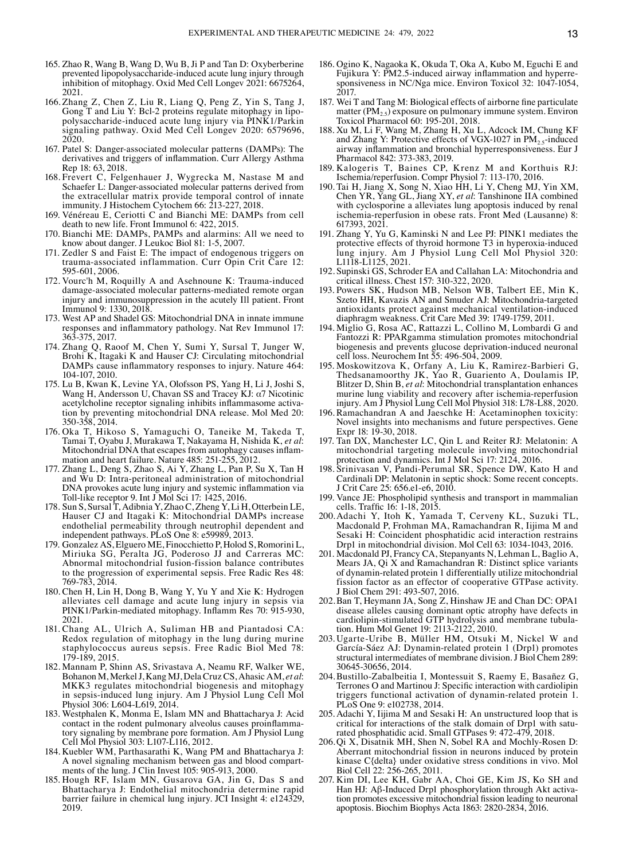- 165. Zhao R, Wang B, Wang D, Wu B, Ji P and Tan D: Oxyberberine prevented lipopolysaccharide‑induced acute lung injury through inhibition of mitophagy. Oxid Med Cell Longev 2021: 6675264, 2021.
- 166. Zhang Z, Chen Z, Liu R, Liang Q, Peng Z, Yin S, Tang J, Gong T and Liu Y: Bcl-2 proteins regulate mitophagy in lipopolysaccharide‑induced acute lung injury via PINK1/Parkin signaling pathway. Oxid Med Cell Longev 2020: 6579696, 2020.
- 167. Patel S: Danger‑associated molecular patterns (DAMPs): The derivatives and triggers of inflammation. Curr Allergy Asthma Rep 18: 63, 2018.
- 168. Frevert C, Felgenhauer J, Wygrecka M, Nastase M and Schaefer L: Danger-associated molecular patterns derived from the extracellular matrix provide temporal control of innate immunity. J Histochem Cytochem 66: 213‑227, 2018.
- 169. Vénéreau E, Ceriotti C and Bianchi ME: DAMPs from cell death to new life. Front Immunol 6: 422, 2015.
- 170. Bianchi ME: DAMPs, PAMPs and alarmins: All we need to know about danger. J Leukoc Biol 81: 1‑5, 2007.
- 171. Zedler S and Faist E: The impact of endogenous triggers on trauma‑associated inflammation. Curr Opin Crit Care 12: 595‑601, 2006.
- 172. Vourc'h M, Roquilly A and Asehnoune K: Trauma‑induced damage‑associated molecular patterns‑mediated remote organ injury and immunosuppression in the acutely Ill patient. Front Immunol 9: 1330, 2018.
- 173. West AP and Shadel GS: Mitochondrial DNA in innate immune responses and inflammatory pathology. Nat Rev Immunol 17: 363‑375, 2017.
- 174. Zhang Q, Raoof M, Chen Y, Sumi Y, Sursal T, Junger W, Brohi K, Itagaki K and Hauser CJ: Circulating mitochondrial DAMPs cause inflammatory responses to injury. Nature 464: 104‑107, 2010.
- 175. Lu B, Kwan K, Levine YA, Olofsson PS, Yang H, Li J, Joshi S, Wang H, Andersson U, Chavan SS and Tracey KJ: α7 Nicotinic acetylcholine receptor signaling inhibits inflammasome activation by preventing mitochondrial DNA release. Mol Med 20: 350‑358, 2014.
- 176. Oka T, Hikoso S, Yamaguchi O, Taneike M, Takeda T, Tamai T, Oyabu J, Murakawa T, Nakayama H, Nishida K, *et al*: Mitochondrial DNA that escapes from autophagy causes inflammation and heart failure. Nature 485: 251‑255, 2012.
- 177. Zhang L, Deng S, Zhao S, Ai Y, Zhang L, Pan P, Su X, Tan H and Wu D: Intra‑peritoneal administration of mitochondrial DNA provokes acute lung injury and systemic inflammation via Toll-like receptor 9. Int  $\overrightarrow{J}$  Mol Sci 17: 1425, 2016.
- 178. Sun S, Sursal T, Adibnia Y, Zhao C, Zheng Y, Li H, Otterbein LE, Hauser CJ and Itagaki K: Mitochondrial DAMPs increase endothelial permeability through neutrophil dependent and independent pathways. PLoS One 8: e59989, 2013.
- 179. Gonzalez AS, Elguero ME, Finocchietto P, Holod S, Romorini L, Miriuka SG, Peralta JG, Poderoso JJ and Carreras MC: Abnormal mitochondrial fusion‑fission balance contributes to the progression of experimental sepsis. Free Radic Res 48: 769‑783, 2014.
- 180. Chen H, Lin H, Dong B, Wang Y, Yu Y and Xie K: Hydrogen alleviates cell damage and acute lung injury in sepsis via PINK1/Parkin‑mediated mitophagy. Inflamm Res 70: 915‑930, 2021.
- 181. Chang AL, Ulrich A, Suliman HB and Piantadosi CA: Redox regulation of mitophagy in the lung during murine staphylococcus aureus sepsis. Free Radic Biol Med 78: 179‑189, 2015.
- 182. Mannam P, Shinn AS, Srivastava A, Neamu RF, Walker WE, Bohanon M, MerkelJ, Kang MJ, Dela Cruz CS, Ahasic AM, *et al*: MKK3 regulates mitochondrial biogenesis and mitophagy in sepsis‑induced lung injury. Am J Physiol Lung Cell Mol Physiol 306: L604‑L619, 2014.
- 183. Westphalen K, Monma E, Islam MN and Bhattacharya J: Acid contact in the rodent pulmonary alveolus causes proinflammatory signaling by membrane pore formation. Am J Physiol Lung Cell Mol Physiol 303: L107‑L116, 2012.
- 184. Kuebler WM, Parthasarathi K, Wang PM and Bhattacharya J: A novel signaling mechanism between gas and blood compart‑ ments of the lung. J Clin Invest 105: 905‑913, 2000.
- 185. Hough RF, Islam MN, Gusarova GA, Jin G, Das S and Bhattacharya J: Endothelial mitochondria determine rapid barrier failure in chemical lung injury. JCI Insight 4: e124329, 2019.
- 186. Ogino K, Nagaoka K, Okuda T, Oka A, Kubo M, Eguchi E and Fujikura Y: PM2.5-induced airway inflammation and hyperresponsiveness in NC/Nga mice. Environ Toxicol 32: 1047-1054, 2017.
- 187. Wei T and Tang M: Biological effects of airborne fine particulate matter  $(PM_{2,5})$  exposure on pulmonary immune system. Environ Toxicol Pharmacol 60: 195‑201, 2018.
- 188. Xu M, Li F, Wang M, Zhang H, Xu L, Adcock IM, Chung KF and Zhang Y: Protective effects of VGX-1027 in  $PM_2$ , induced airway inflammation and bronchial hyperresponsiveness. Eur J Pharmacol 842: 373‑383, 2019.
- 189. Kalogeris T, Baines CP, Krenz M and Korthuis RJ: Ischemia/reperfusion. Compr Physiol 7: 113‑170, 2016.
- 190. Tai H, Jiang X, Song N, Xiao HH, Li Y, Cheng MJ, Yin XM, Chen YR, Yang GL, Jiang XY, *et al*: Tanshinone IIA combined with cyclosporine a alleviates lung apoptosis induced by renal ischemia‑reperfusion in obese rats. Front Med (Lausanne) 8: 617393, 2021.
- 191. Zhang Y, Yu G, Kaminski N and Lee PJ: PINK1 mediates the protective effects of thyroid hormone T3 in hyperoxia-induced lung injury. Am J Physiol Lung Cell Mol Physiol 320: L1118‑L1125, 2021.
- 192. Supinski GS, Schroder EA and Callahan LA: Mitochondria and critical illness. Chest 157: 310‑322, 2020.
- 193. Powers SK, Hudson MB, Nelson WB, Talbert EE, Min K, Szeto HH, Kavazis AN and Smuder AJ: Mitochondria‑targeted antioxidants protect against mechanical ventilation‑induced diaphragm weakness. Crit Care Med 39: 1749-1759, 2011.
- 194. Miglio G, Rosa AC, Rattazzi L, Collino M, Lombardi G and Fantozzi R: PPARgamma stimulation promotes mitochondrial biogenesis and prevents glucose deprivation-induced neuronal cell loss. Neurochem Int 55: 496‑504, 2009.
- 195. Moskowitzova K, Orfany A, Liu K, Ramirez‑Barbieri G, Thedsanamoorthy JK, Yao R, Guariento A, Doulamis IP, Blitzer D, Shin B, *et al*: Mitochondrial transplantation enhances murine lung viability and recovery after ischemia‑reperfusion injury. Am J Physiol Lung Cell Mol Physiol 318: L78‑L88, 2020.
- 196. Ramachandran A and Jaeschke H: Acetaminophen toxicity: Novel insights into mechanisms and future perspectives. Gene Expr 18: 19-30, 2018.
- 197. Tan DX, Manchester LC, Qin L and Reiter RJ: Melatonin: A mitochondrial targeting molecule involving mitochondrial protection and dynamics. Int J Mol Sci 17: 2124, 2016.
- 198. Srinivasan V, Pandi‑Perumal SR, Spence DW, Kato H and Cardinali DP: Melatonin in septic shock: Some recent concepts. J Crit Care 25: 656.e1‑e6, 2010.
- 199. Vance JE: Phospholipid synthesis and transport in mammalian cells. Traffic 16: 1‑18, 2015.
- 200.Adachi Y, Itoh K, Yamada T, Cerveny KL, Suzuki TL, Macdonald P, Frohman MA, Ramachandran R, Iijima M and Sesaki H: Coincident phosphatidic acid interaction restrains Drp1 in mitochondrial division. Mol Cell 63: 1034-1043, 2016.
- 201. Macdonald PJ, Francy CA, Stepanyants N, Lehman L, Baglio A, Mears JA, Qi X and Ramachandran R: Distinct splice variants of dynamin‑related protein 1 differentially utilize mitochondrial fission factor as an effector of cooperative GTPase activity. J Biol Chem 291: 493‑507, 2016.
- 202.Ban T, Heymann JA, Song Z, Hinshaw JE and Chan DC: OPA1 disease alleles causing dominant optic atrophy have defects in cardiolipin‑stimulated GTP hydrolysis and membrane tubula‑ tion. Hum Mol Genet 19: 2113‑2122, 2010.
- 203. Ugarte‑Uribe B, Müller HM, Otsuki M, Nickel W and García‑Sáez AJ: Dynamin‑related protein 1 (Drp1) promotes structural intermediates of membrane division. J Biol Chem 289: 30645‑30656, 2014.
- 204.Bustillo‑Zabalbeitia I, Montessuit S, Raemy E, Basañez G, Terrones O and Martinou J: Specific interaction with cardiolipin triggers functional activation of dynamin‑related protein 1. PLoS One 9: e102738, 2014.
- 205. Adachi Y, Iijima M and Sesaki H: An unstructured loop that is critical for interactions of the stalk domain of Drp1 with saturated phosphatidic acid. Small GTPases 9: 472‑479, 2018.
- 206.Qi X, Disatnik MH, Shen N, Sobel RA and Mochly‑Rosen D: Aberrant mitochondrial fission in neurons induced by protein kinase C{delta} under oxidative stress conditions in vivo. Mol Biol Cell 22: 256‑265, 2011.
- 207. Kim DI, Lee KH, Gabr AA, Choi GE, Kim JS, Ko SH and Han HJ: Aβ-Induced Drp1 phosphorylation through Akt activation promotes excessive mitochondrial fission leading to neuronal apoptosis. Biochim Biophys Acta 1863: 2820‑2834, 2016.